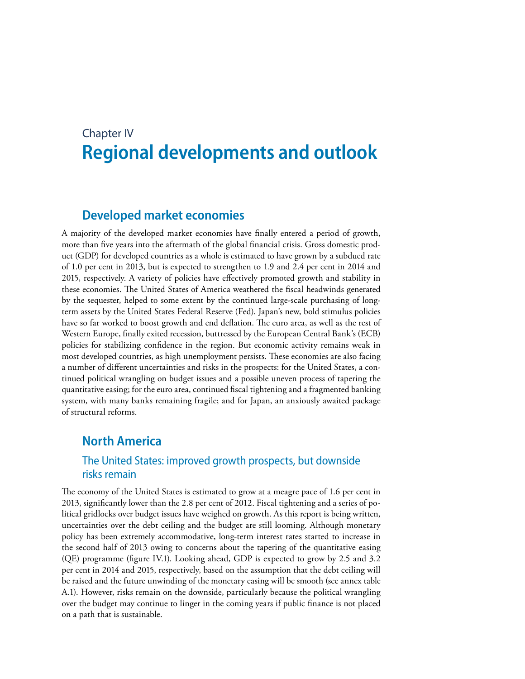# Chapter IV **Regional developments and outlook**

# **Developed market economies**

A majority of the developed market economies have finally entered a period of growth, more than five years into the aftermath of the global financial crisis. Gross domestic product (GDP) for developed countries as a whole is estimated to have grown by a subdued rate of 1.0 per cent in 2013, but is expected to strengthen to 1.9 and 2.4 per cent in 2014 and 2015, respectively. A variety of policies have effectively promoted growth and stability in these economies. The United States of America weathered the fiscal headwinds generated by the sequester, helped to some extent by the continued large-scale purchasing of longterm assets by the United States Federal Reserve (Fed). Japan's new, bold stimulus policies have so far worked to boost growth and end deflation. The euro area, as well as the rest of Western Europe, finally exited recession, buttressed by the European Central Bank's (ECB) policies for stabilizing confidence in the region. But economic activity remains weak in most developed countries, as high unemployment persists. These economies are also facing a number of different uncertainties and risks in the prospects: for the United States, a continued political wrangling on budget issues and a possible uneven process of tapering the quantitative easing; for the euro area, continued fiscal tightening and a fragmented banking system, with many banks remaining fragile; and for Japan, an anxiously awaited package of structural reforms.

# **North America**

# The United States: improved growth prospects, but downside risks remain

The economy of the United States is estimated to grow at a meagre pace of 1.6 per cent in 2013, significantly lower than the 2.8 per cent of 2012. Fiscal tightening and a series of political gridlocks over budget issues have weighed on growth. As this report is being written, uncertainties over the debt ceiling and the budget are still looming. Although monetary policy has been extremely accommodative, long-term interest rates started to increase in the second half of 2013 owing to concerns about the tapering of the quantitative easing (QE) programme (figure IV.1). Looking ahead, GDP is expected to grow by 2.5 and 3.2 per cent in 2014 and 2015, respectively, based on the assumption that the debt ceiling will be raised and the future unwinding of the monetary easing will be smooth (see annex table A.1). However, risks remain on the downside, particularly because the political wrangling over the budget may continue to linger in the coming years if public finance is not placed on a path that is sustainable.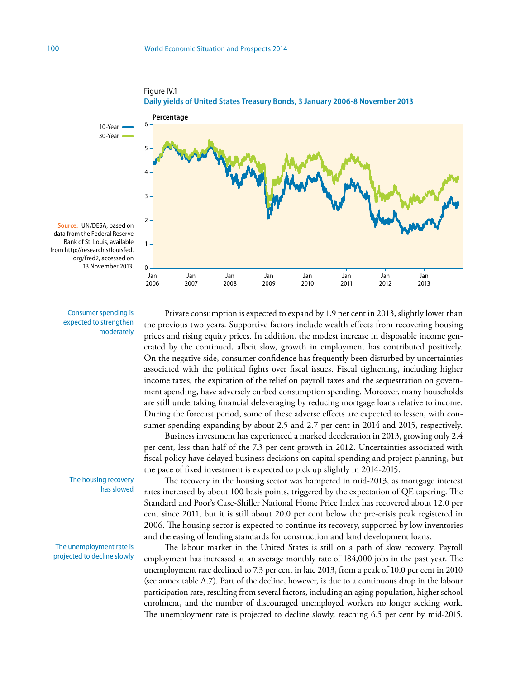Figure IV.1



**Source:** UN/DESA, based on data from the Federal Reserve Bank of St. Louis, available from http://research.stlouisfed. org/fred2, accessed on 13 November 2013.

> Consumer spending is expected to strengthen moderately

The housing recovery has slowed

The unemployment rate is projected to decline slowly

Private consumption is expected to expand by 1.9 per cent in 2013, slightly lower than the previous two years. Supportive factors include wealth effects from recovering housing prices and rising equity prices. In addition, the modest increase in disposable income generated by the continued, albeit slow, growth in employment has contributed positively. On the negative side, consumer confidence has frequently been disturbed by uncertainties associated with the political fights over fiscal issues. Fiscal tightening, including higher income taxes, the expiration of the relief on payroll taxes and the sequestration on government spending, have adversely curbed consumption spending. Moreover, many households are still undertaking financial deleveraging by reducing mortgage loans relative to income. During the forecast period, some of these adverse effects are expected to lessen, with consumer spending expanding by about 2.5 and 2.7 per cent in 2014 and 2015, respectively.

Business investment has experienced a marked deceleration in 2013, growing only 2.4 per cent, less than half of the 7.3 per cent growth in 2012. Uncertainties associated with fiscal policy have delayed business decisions on capital spending and project planning, but the pace of fixed investment is expected to pick up slightly in 2014-2015.

The recovery in the housing sector was hampered in mid-2013, as mortgage interest rates increased by about 100 basis points, triggered by the expectation of QE tapering. The Standard and Poor's Case-Shiller National Home Price Index has recovered about 12.0 per cent since 2011, but it is still about 20.0 per cent below the pre-crisis peak registered in 2006. The housing sector is expected to continue its recovery, supported by low inventories and the easing of lending standards for construction and land development loans.

The labour market in the United States is still on a path of slow recovery. Payroll employment has increased at an average monthly rate of 184,000 jobs in the past year. The unemployment rate declined to 7.3 per cent in late 2013, from a peak of 10.0 per cent in 2010 (see annex table A.7). Part of the decline, however, is due to a continuous drop in the labour participation rate, resulting from several factors, including an aging population, higher school enrolment, and the number of discouraged unemployed workers no longer seeking work. The unemployment rate is projected to decline slowly, reaching 6.5 per cent by mid-2015.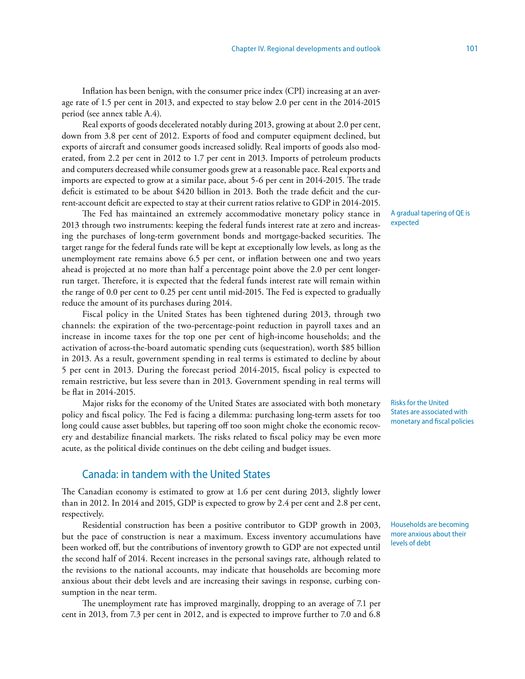Inflation has been benign, with the consumer price index (CPI) increasing at an average rate of 1.5 per cent in 2013, and expected to stay below 2.0 per cent in the 2014-2015 period (see annex table A.4).

Real exports of goods decelerated notably during 2013, growing at about 2.0 per cent, down from 3.8 per cent of 2012. Exports of food and computer equipment declined, but exports of aircraft and consumer goods increased solidly. Real imports of goods also moderated, from 2.2 per cent in 2012 to 1.7 per cent in 2013. Imports of petroleum products and computers decreased while consumer goods grew at a reasonable pace. Real exports and imports are expected to grow at a similar pace, about 5-6 per cent in 2014-2015. The trade deficit is estimated to be about \$420 billion in 2013. Both the trade deficit and the current-account deficit are expected to stay at their current ratios relative to GDP in 2014-2015.

The Fed has maintained an extremely accommodative monetary policy stance in 2013 through two instruments: keeping the federal funds interest rate at zero and increasing the purchases of long-term government bonds and mortgage-backed securities. The target range for the federal funds rate will be kept at exceptionally low levels, as long as the unemployment rate remains above 6.5 per cent, or inflation between one and two years ahead is projected at no more than half a percentage point above the 2.0 per cent longerrun target. Therefore, it is expected that the federal funds interest rate will remain within the range of 0.0 per cent to 0.25 per cent until mid-2015. The Fed is expected to gradually reduce the amount of its purchases during 2014.

Fiscal policy in the United States has been tightened during 2013, through two channels: the expiration of the two-percentage-point reduction in payroll taxes and an increase in income taxes for the top one per cent of high-income households; and the activation of across-the-board automatic spending cuts (sequestration), worth \$85 billion in 2013. As a result, government spending in real terms is estimated to decline by about 5 per cent in 2013. During the forecast period 2014-2015, fiscal policy is expected to remain restrictive, but less severe than in 2013. Government spending in real terms will be flat in 2014-2015.

Major risks for the economy of the United States are associated with both monetary policy and fiscal policy. The Fed is facing a dilemma: purchasing long-term assets for too long could cause asset bubbles, but tapering off too soon might choke the economic recovery and destabilize financial markets. The risks related to fiscal policy may be even more acute, as the political divide continues on the debt ceiling and budget issues.

# Canada: in tandem with the United States

The Canadian economy is estimated to grow at 1.6 per cent during 2013, slightly lower than in 2012. In 2014 and 2015, GDP is expected to grow by 2.4 per cent and 2.8 per cent, respectively.

Residential construction has been a positive contributor to GDP growth in 2003, but the pace of construction is near a maximum. Excess inventory accumulations have been worked off, but the contributions of inventory growth to GDP are not expected until the second half of 2014. Recent increases in the personal savings rate, although related to the revisions to the national accounts, may indicate that households are becoming more anxious about their debt levels and are increasing their savings in response, curbing consumption in the near term.

The unemployment rate has improved marginally, dropping to an average of 7.1 per cent in 2013, from 7.3 per cent in 2012, and is expected to improve further to 7.0 and 6.8 A gradual tapering of QE is expected

Risks for the United States are associated with monetary and fiscal policies

Households are becoming more anxious about their levels of debt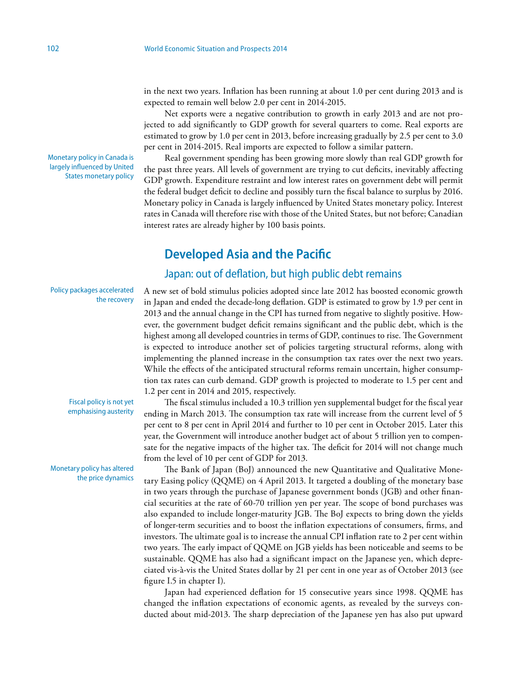in the next two years. Inflation has been running at about 1.0 per cent during 2013 and is expected to remain well below 2.0 per cent in 2014-2015.

Net exports were a negative contribution to growth in early 2013 and are not projected to add significantly to GDP growth for several quarters to come. Real exports are estimated to grow by 1.0 per cent in 2013, before increasing gradually by 2.5 per cent to 3.0 per cent in 2014-2015. Real imports are expected to follow a similar pattern.

Real government spending has been growing more slowly than real GDP growth for the past three years. All levels of government are trying to cut deficits, inevitably affecting GDP growth. Expenditure restraint and low interest rates on government debt will permit the federal budget deficit to decline and possibly turn the fiscal balance to surplus by 2016. Monetary policy in Canada is largely influenced by United States monetary policy. Interest rates in Canada will therefore rise with those of the United States, but not before; Canadian interest rates are already higher by 100 basis points.

# **Developed Asia and the Pacific**

# Japan: out of deflation, but high public debt remains

Policy packages accelerated the recovery

> Fiscal policy is not yet emphasising austerity

Monetary policy has altered the price dynamics A new set of bold stimulus policies adopted since late 2012 has boosted economic growth in Japan and ended the decade-long deflation. GDP is estimated to grow by 1.9 per cent in 2013 and the annual change in the CPI has turned from negative to slightly positive. However, the government budget deficit remains significant and the public debt, which is the highest among all developed countries in terms of GDP, continues to rise. The Government is expected to introduce another set of policies targeting structural reforms, along with implementing the planned increase in the consumption tax rates over the next two years. While the effects of the anticipated structural reforms remain uncertain, higher consumption tax rates can curb demand. GDP growth is projected to moderate to 1.5 per cent and 1.2 per cent in 2014 and 2015, respectively.

The fiscal stimulus included a 10.3 trillion yen supplemental budget for the fiscal year ending in March 2013. The consumption tax rate will increase from the current level of 5 per cent to 8 per cent in April 2014 and further to 10 per cent in October 2015. Later this year, the Government will introduce another budget act of about 5 trillion yen to compensate for the negative impacts of the higher tax. The deficit for 2014 will not change much from the level of 10 per cent of GDP for 2013.

The Bank of Japan (BoJ) announced the new Quantitative and Qualitative Monetary Easing policy (QQME) on 4 April 2013. It targeted a doubling of the monetary base in two years through the purchase of Japanese government bonds (JGB) and other financial securities at the rate of 60-70 trillion yen per year. The scope of bond purchases was also expanded to include longer-maturity JGB. The BoJ expects to bring down the yields of longer-term securities and to boost the inflation expectations of consumers, firms, and investors. The ultimate goal is to increase the annual CPI inflation rate to 2 per cent within two years. The early impact of QQME on JGB yields has been noticeable and seems to be sustainable. QQME has also had a significant impact on the Japanese yen, which depreciated vis-à-vis the United States dollar by 21 per cent in one year as of October 2013 (see figure I.5 in chapter I).

Japan had experienced deflation for 15 consecutive years since 1998. QQME has changed the inflation expectations of economic agents, as revealed by the surveys conducted about mid-2013. The sharp depreciation of the Japanese yen has also put upward

Monetary policy in Canada is largely influenced by United States monetary policy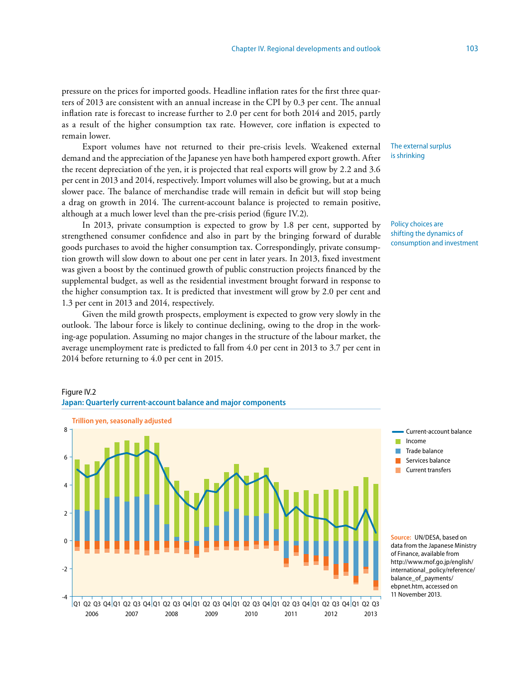pressure on the prices for imported goods. Headline inflation rates for the first three quarters of 2013 are consistent with an annual increase in the CPI by 0.3 per cent. The annual inflation rate is forecast to increase further to 2.0 per cent for both 2014 and 2015, partly as a result of the higher consumption tax rate. However, core inflation is expected to remain lower.

Export volumes have not returned to their pre-crisis levels. Weakened external demand and the appreciation of the Japanese yen have both hampered export growth. After the recent depreciation of the yen, it is projected that real exports will grow by 2.2 and 3.6 per cent in 2013 and 2014, respectively. Import volumes will also be growing, but at a much slower pace. The balance of merchandise trade will remain in deficit but will stop being a drag on growth in 2014. The current-account balance is projected to remain positive, although at a much lower level than the pre-crisis period (figure IV.2).

In 2013, private consumption is expected to grow by 1.8 per cent, supported by strengthened consumer confidence and also in part by the bringing forward of durable goods purchases to avoid the higher consumption tax. Correspondingly, private consumption growth will slow down to about one per cent in later years. In 2013, fixed investment was given a boost by the continued growth of public construction projects financed by the supplemental budget, as well as the residential investment brought forward in response to the higher consumption tax. It is predicted that investment will grow by 2.0 per cent and 1.3 per cent in 2013 and 2014, respectively.

Given the mild growth prospects, employment is expected to grow very slowly in the outlook. The labour force is likely to continue declining, owing to the drop in the working-age population. Assuming no major changes in the structure of the labour market, the average unemployment rate is predicted to fall from 4.0 per cent in 2013 to 3.7 per cent in 2014 before returning to 4.0 per cent in 2015.



Policy choices are shifting the dynamics of consumption and investment



Figure IV.2 **Japan: Quarterly current-account balance and major components**

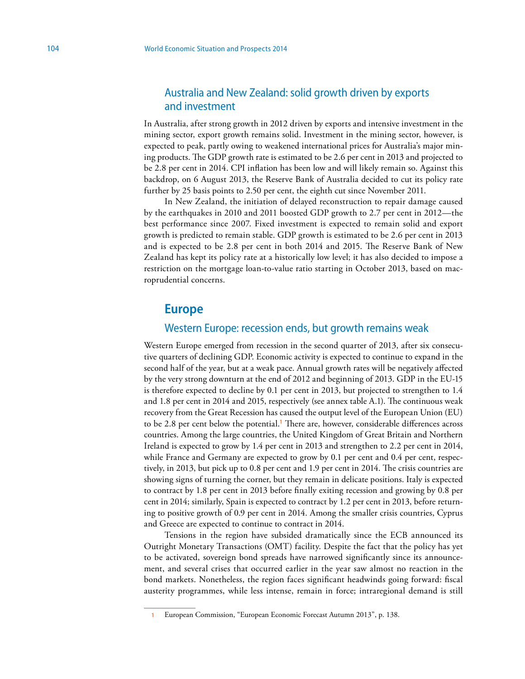# Australia and New Zealand: solid growth driven by exports and investment

In Australia, after strong growth in 2012 driven by exports and intensive investment in the mining sector, export growth remains solid. Investment in the mining sector, however, is expected to peak, partly owing to weakened international prices for Australia's major mining products. The GDP growth rate is estimated to be 2.6 per cent in 2013 and projected to be 2.8 per cent in 2014. CPI inflation has been low and will likely remain so. Against this backdrop, on 6 August 2013, the Reserve Bank of Australia decided to cut its policy rate further by 25 basis points to 2.50 per cent, the eighth cut since November 2011.

In New Zealand, the initiation of delayed reconstruction to repair damage caused by the earthquakes in 2010 and 2011 boosted GDP growth to 2.7 per cent in 2012—the best performance since 2007. Fixed investment is expected to remain solid and export growth is predicted to remain stable. GDP growth is estimated to be 2.6 per cent in 2013 and is expected to be 2.8 per cent in both 2014 and 2015. The Reserve Bank of New Zealand has kept its policy rate at a historically low level; it has also decided to impose a restriction on the mortgage loan-to-value ratio starting in October 2013, based on macroprudential concerns.

# **Europe**

# Western Europe: recession ends, but growth remains weak

Western Europe emerged from recession in the second quarter of 2013, after six consecutive quarters of declining GDP. Economic activity is expected to continue to expand in the second half of the year, but at a weak pace. Annual growth rates will be negatively affected by the very strong downturn at the end of 2012 and beginning of 2013. GDP in the EU-15 is therefore expected to decline by 0.1 per cent in 2013, but projected to strengthen to 1.4 and 1.8 per cent in 2014 and 2015, respectively (see annex table A.1). The continuous weak recovery from the Great Recession has caused the output level of the European Union (EU) to be 2.8 per cent below the potential.**<sup>1</sup>** There are, however, considerable differences across countries. Among the large countries, the United Kingdom of Great Britain and Northern Ireland is expected to grow by 1.4 per cent in 2013 and strengthen to 2.2 per cent in 2014, while France and Germany are expected to grow by 0.1 per cent and 0.4 per cent, respectively, in 2013, but pick up to 0.8 per cent and 1.9 per cent in 2014. The crisis countries are showing signs of turning the corner, but they remain in delicate positions. Italy is expected to contract by 1.8 per cent in 2013 before finally exiting recession and growing by 0.8 per cent in 2014; similarly, Spain is expected to contract by 1.2 per cent in 2013, before returning to positive growth of 0.9 per cent in 2014. Among the smaller crisis countries, Cyprus and Greece are expected to continue to contract in 2014.

Tensions in the region have subsided dramatically since the ECB announced its Outright Monetary Transactions (OMT) facility. Despite the fact that the policy has yet to be activated, sovereign bond spreads have narrowed significantly since its announcement, and several crises that occurred earlier in the year saw almost no reaction in the bond markets. Nonetheless, the region faces significant headwinds going forward: fiscal austerity programmes, while less intense, remain in force; intraregional demand is still

**<sup>1</sup>** European Commission, "European Economic Forecast Autumn 2013", p. 138.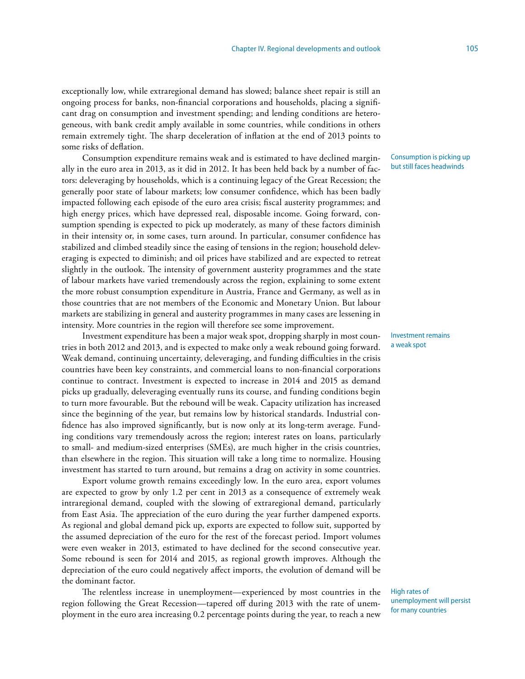exceptionally low, while extraregional demand has slowed; balance sheet repair is still an ongoing process for banks, non-financial corporations and households, placing a significant drag on consumption and investment spending; and lending conditions are heterogeneous, with bank credit amply available in some countries, while conditions in others remain extremely tight. The sharp deceleration of inflation at the end of 2013 points to some risks of deflation.

Consumption expenditure remains weak and is estimated to have declined marginally in the euro area in 2013, as it did in 2012. It has been held back by a number of factors: deleveraging by households, which is a continuing legacy of the Great Recession; the generally poor state of labour markets; low consumer confidence, which has been badly impacted following each episode of the euro area crisis; fiscal austerity programmes; and high energy prices, which have depressed real, disposable income. Going forward, consumption spending is expected to pick up moderately, as many of these factors diminish in their intensity or, in some cases, turn around. In particular, consumer confidence has stabilized and climbed steadily since the easing of tensions in the region; household deleveraging is expected to diminish; and oil prices have stabilized and are expected to retreat slightly in the outlook. The intensity of government austerity programmes and the state of labour markets have varied tremendously across the region, explaining to some extent the more robust consumption expenditure in Austria, France and Germany, as well as in those countries that are not members of the Economic and Monetary Union. But labour markets are stabilizing in general and austerity programmes in many cases are lessening in intensity. More countries in the region will therefore see some improvement.

Investment expenditure has been a major weak spot, dropping sharply in most countries in both 2012 and 2013, and is expected to make only a weak rebound going forward. Weak demand, continuing uncertainty, deleveraging, and funding difficulties in the crisis countries have been key constraints, and commercial loans to non-financial corporations continue to contract. Investment is expected to increase in 2014 and 2015 as demand picks up gradually, deleveraging eventually runs its course, and funding conditions begin to turn more favourable. But the rebound will be weak. Capacity utilization has increased since the beginning of the year, but remains low by historical standards. Industrial confidence has also improved significantly, but is now only at its long-term average. Funding conditions vary tremendously across the region; interest rates on loans, particularly to small- and medium-sized enterprises (SMEs), are much higher in the crisis countries, than elsewhere in the region. This situation will take a long time to normalize. Housing investment has started to turn around, but remains a drag on activity in some countries.

Export volume growth remains exceedingly low. In the euro area, export volumes are expected to grow by only 1.2 per cent in 2013 as a consequence of extremely weak intraregional demand, coupled with the slowing of extraregional demand, particularly from East Asia. The appreciation of the euro during the year further dampened exports. As regional and global demand pick up, exports are expected to follow suit, supported by the assumed depreciation of the euro for the rest of the forecast period. Import volumes were even weaker in 2013, estimated to have declined for the second consecutive year. Some rebound is seen for 2014 and 2015, as regional growth improves. Although the depreciation of the euro could negatively affect imports, the evolution of demand will be the dominant factor.

The relentless increase in unemployment—experienced by most countries in the region following the Great Recession—tapered off during 2013 with the rate of unemployment in the euro area increasing 0.2 percentage points during the year, to reach a new Consumption is picking up but still faces headwinds

Investment remains a weak spot

High rates of unemployment will persist for many countries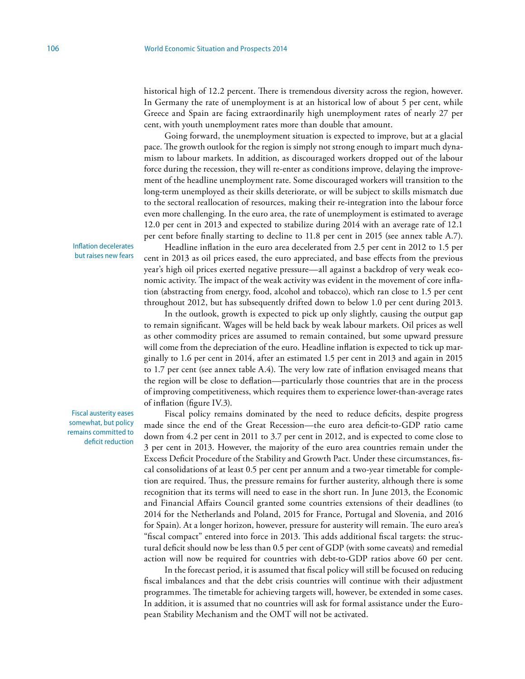historical high of 12.2 percent. There is tremendous diversity across the region, however. In Germany the rate of unemployment is at an historical low of about 5 per cent, while Greece and Spain are facing extraordinarily high unemployment rates of nearly 27 per cent, with youth unemployment rates more than double that amount.

Going forward, the unemployment situation is expected to improve, but at a glacial pace. The growth outlook for the region is simply not strong enough to impart much dynamism to labour markets. In addition, as discouraged workers dropped out of the labour force during the recession, they will re-enter as conditions improve, delaying the improvement of the headline unemployment rate. Some discouraged workers will transition to the long-term unemployed as their skills deteriorate, or will be subject to skills mismatch due to the sectoral reallocation of resources, making their re-integration into the labour force even more challenging. In the euro area, the rate of unemployment is estimated to average 12.0 per cent in 2013 and expected to stabilize during 2014 with an average rate of 12.1 per cent before finally starting to decline to 11.8 per cent in 2015 (see annex table A.7).

Inflation decelerates but raises new fears

cent in 2013 as oil prices eased, the euro appreciated, and base effects from the previous year's high oil prices exerted negative pressure—all against a backdrop of very weak economic activity. The impact of the weak activity was evident in the movement of core inflation (abstracting from energy, food, alcohol and tobacco), which ran close to 1.5 per cent throughout 2012, but has subsequently drifted down to below 1.0 per cent during 2013. In the outlook, growth is expected to pick up only slightly, causing the output gap

Headline inflation in the euro area decelerated from 2.5 per cent in 2012 to 1.5 per

to remain significant. Wages will be held back by weak labour markets. Oil prices as well as other commodity prices are assumed to remain contained, but some upward pressure will come from the depreciation of the euro. Headline inflation is expected to tick up marginally to 1.6 per cent in 2014, after an estimated 1.5 per cent in 2013 and again in 2015 to 1.7 per cent (see annex table A.4). The very low rate of inflation envisaged means that the region will be close to deflation—particularly those countries that are in the process of improving competitiveness, which requires them to experience lower-than-average rates of inflation (figure IV.3).

Fiscal policy remains dominated by the need to reduce deficits, despite progress made since the end of the Great Recession—the euro area deficit-to-GDP ratio came down from 4.2 per cent in 2011 to 3.7 per cent in 2012, and is expected to come close to 3 per cent in 2013. However, the majority of the euro area countries remain under the Excess Deficit Procedure of the Stability and Growth Pact. Under these circumstances, fiscal consolidations of at least 0.5 per cent per annum and a two-year timetable for completion are required. Thus, the pressure remains for further austerity, although there is some recognition that its terms will need to ease in the short run. In June 2013, the Economic and Financial Affairs Council granted some countries extensions of their deadlines (to 2014 for the Netherlands and Poland, 2015 for France, Portugal and Slovenia, and 2016 for Spain). At a longer horizon, however, pressure for austerity will remain. The euro area's "fiscal compact" entered into force in 2013. This adds additional fiscal targets: the structural deficit should now be less than 0.5 per cent of GDP (with some caveats) and remedial action will now be required for countries with debt-to-GDP ratios above 60 per cent.

In the forecast period, it is assumed that fiscal policy will still be focused on reducing fiscal imbalances and that the debt crisis countries will continue with their adjustment programmes. The timetable for achieving targets will, however, be extended in some cases. In addition, it is assumed that no countries will ask for formal assistance under the European Stability Mechanism and the OMT will not be activated.

Fiscal austerity eases somewhat, but policy remains committed to deficit reduction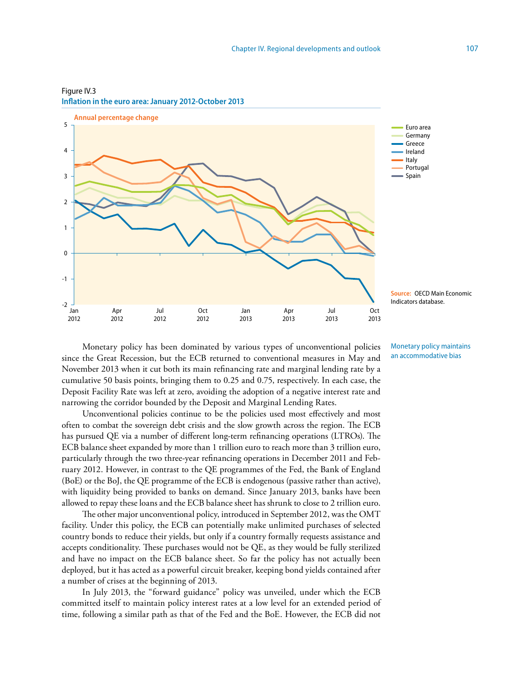

### Figure IV.3

**Inflation in the euro area: January 2012-October 2013**



**Source:** OECD Main Economic Indicators database.

Monetary policy has been dominated by various types of unconventional policies since the Great Recession, but the ECB returned to conventional measures in May and November 2013 when it cut both its main refinancing rate and marginal lending rate by a cumulative 50 basis points, bringing them to 0.25 and 0.75, respectively. In each case, the Deposit Facility Rate was left at zero, avoiding the adoption of a negative interest rate and narrowing the corridor bounded by the Deposit and Marginal Lending Rates.

Unconventional policies continue to be the policies used most effectively and most often to combat the sovereign debt crisis and the slow growth across the region. The ECB has pursued QE via a number of different long-term refinancing operations (LTROs). The ECB balance sheet expanded by more than 1 trillion euro to reach more than 3 trillion euro, particularly through the two three-year refinancing operations in December 2011 and February 2012. However, in contrast to the QE programmes of the Fed, the Bank of England (BoE) or the BoJ, the QE programme of the ECB is endogenous (passive rather than active), with liquidity being provided to banks on demand. Since January 2013, banks have been allowed to repay these loans and the ECB balance sheet has shrunk to close to 2 trillion euro.

The other major unconventional policy, introduced in September 2012, was the OMT facility. Under this policy, the ECB can potentially make unlimited purchases of selected country bonds to reduce their yields, but only if a country formally requests assistance and accepts conditionality. These purchases would not be QE, as they would be fully sterilized and have no impact on the ECB balance sheet. So far the policy has not actually been deployed, but it has acted as a powerful circuit breaker, keeping bond yields contained after a number of crises at the beginning of 2013.

In July 2013, the "forward guidance" policy was unveiled, under which the ECB committed itself to maintain policy interest rates at a low level for an extended period of time, following a similar path as that of the Fed and the BoE. However, the ECB did not

Monetary policy maintains an accommodative bias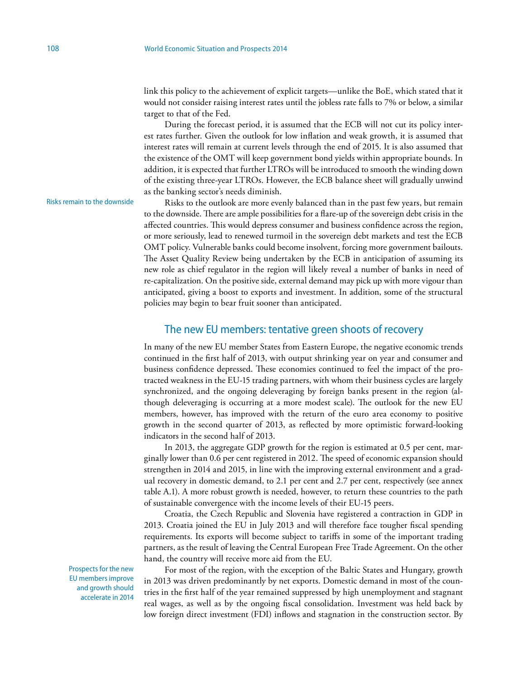link this policy to the achievement of explicit targets—unlike the BoE, which stated that it would not consider raising interest rates until the jobless rate falls to 7% or below, a similar target to that of the Fed.

During the forecast period, it is assumed that the ECB will not cut its policy interest rates further. Given the outlook for low inflation and weak growth, it is assumed that interest rates will remain at current levels through the end of 2015. It is also assumed that the existence of the OMT will keep government bond yields within appropriate bounds. In addition, it is expected that further LTROs will be introduced to smooth the winding down of the existing three-year LTROs. However, the ECB balance sheet will gradually unwind as the banking sector's needs diminish.

### Risks remain to the downside

Risks to the outlook are more evenly balanced than in the past few years, but remain to the downside. There are ample possibilities for a flare-up of the sovereign debt crisis in the affected countries. This would depress consumer and business confidence across the region, or more seriously, lead to renewed turmoil in the sovereign debt markets and test the ECB OMT policy. Vulnerable banks could become insolvent, forcing more government bailouts. The Asset Quality Review being undertaken by the ECB in anticipation of assuming its new role as chief regulator in the region will likely reveal a number of banks in need of re-capitalization. On the positive side, external demand may pick up with more vigour than anticipated, giving a boost to exports and investment. In addition, some of the structural policies may begin to bear fruit sooner than anticipated.

## The new EU members: tentative green shoots of recovery

In many of the new EU member States from Eastern Europe, the negative economic trends continued in the first half of 2013, with output shrinking year on year and consumer and business confidence depressed. These economies continued to feel the impact of the protracted weakness in the EU-15 trading partners, with whom their business cycles are largely synchronized, and the ongoing deleveraging by foreign banks present in the region (although deleveraging is occurring at a more modest scale). The outlook for the new EU members, however, has improved with the return of the euro area economy to positive growth in the second quarter of 2013, as reflected by more optimistic forward-looking indicators in the second half of 2013.

In 2013, the aggregate GDP growth for the region is estimated at 0.5 per cent, marginally lower than 0.6 per cent registered in 2012. The speed of economic expansion should strengthen in 2014 and 2015, in line with the improving external environment and a gradual recovery in domestic demand, to 2.1 per cent and 2.7 per cent, respectively (see annex table A.1). A more robust growth is needed, however, to return these countries to the path of sustainable convergence with the income levels of their EU-15 peers.

Croatia, the Czech Republic and Slovenia have registered a contraction in GDP in 2013. Croatia joined the EU in July 2013 and will therefore face tougher fiscal spending requirements. Its exports will become subject to tariffs in some of the important trading partners, as the result of leaving the Central European Free Trade Agreement. On the other hand, the country will receive more aid from the EU.

For most of the region, with the exception of the Baltic States and Hungary, growth in 2013 was driven predominantly by net exports. Domestic demand in most of the countries in the first half of the year remained suppressed by high unemployment and stagnant real wages, as well as by the ongoing fiscal consolidation. Investment was held back by low foreign direct investment (FDI) inflows and stagnation in the construction sector. By

Prospects for the new EU members improve and growth should accelerate in 2014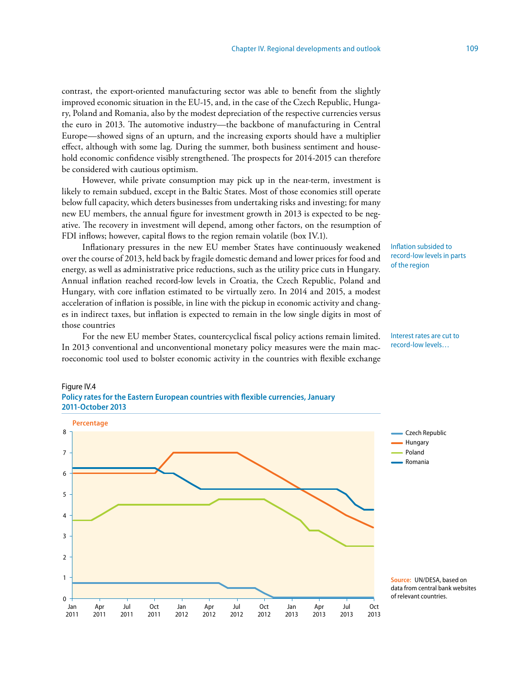contrast, the export-oriented manufacturing sector was able to benefit from the slightly improved economic situation in the EU-15, and, in the case of the Czech Republic, Hungary, Poland and Romania, also by the modest depreciation of the respective currencies versus the euro in 2013. The automotive industry—the backbone of manufacturing in Central Europe—showed signs of an upturn, and the increasing exports should have a multiplier effect, although with some lag. During the summer, both business sentiment and household economic confidence visibly strengthened. The prospects for 2014-2015 can therefore be considered with cautious optimism.

However, while private consumption may pick up in the near-term, investment is likely to remain subdued, except in the Baltic States. Most of those economies still operate below full capacity, which deters businesses from undertaking risks and investing; for many new EU members, the annual figure for investment growth in 2013 is expected to be negative. The recovery in investment will depend, among other factors, on the resumption of FDI inflows; however, capital flows to the region remain volatile (box IV.1).

Inflationary pressures in the new EU member States have continuously weakened over the course of 2013, held back by fragile domestic demand and lower prices for food and energy, as well as administrative price reductions, such as the utility price cuts in Hungary. Annual inflation reached record-low levels in Croatia, the Czech Republic, Poland and Hungary, with core inflation estimated to be virtually zero. In 2014 and 2015, a modest acceleration of inflation is possible, in line with the pickup in economic activity and changes in indirect taxes, but inflation is expected to remain in the low single digits in most of those countries

For the new EU member States, countercyclical fiscal policy actions remain limited. In 2013 conventional and unconventional monetary policy measures were the main macroeconomic tool used to bolster economic activity in the countries with flexible exchange

**Policy rates for the Eastern European countries with flexible currencies, January** 

Figure IV.4



Interest rates are cut to record-low levels…

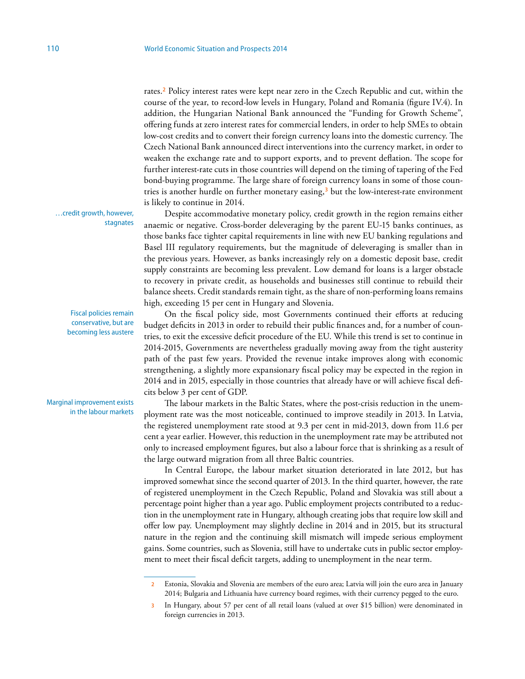rates.**<sup>2</sup>** Policy interest rates were kept near zero in the Czech Republic and cut, within the course of the year, to record-low levels in Hungary, Poland and Romania (figure IV.4). In addition, the Hungarian National Bank announced the "Funding for Growth Scheme", offering funds at zero interest rates for commercial lenders, in order to help SMEs to obtain low-cost credits and to convert their foreign currency loans into the domestic currency. The Czech National Bank announced direct interventions into the currency market, in order to weaken the exchange rate and to support exports, and to prevent deflation. The scope for further interest-rate cuts in those countries will depend on the timing of tapering of the Fed bond-buying programme. The large share of foreign currency loans in some of those countries is another hurdle on further monetary easing,**<sup>3</sup>** but the low-interest-rate environment is likely to continue in 2014.

…credit growth, however, stagnates

> Fiscal policies remain conservative, but are becoming less austere

Marginal improvement exists in the labour markets

Despite accommodative monetary policy, credit growth in the region remains either anaemic or negative. Cross-border deleveraging by the parent EU-15 banks continues, as those banks face tighter capital requirements in line with new EU banking regulations and Basel III regulatory requirements, but the magnitude of deleveraging is smaller than in the previous years. However, as banks increasingly rely on a domestic deposit base, credit supply constraints are becoming less prevalent. Low demand for loans is a larger obstacle to recovery in private credit, as households and businesses still continue to rebuild their balance sheets. Credit standards remain tight, as the share of non-performing loans remains high, exceeding 15 per cent in Hungary and Slovenia.

On the fiscal policy side, most Governments continued their efforts at reducing budget deficits in 2013 in order to rebuild their public finances and, for a number of countries, to exit the excessive deficit procedure of the EU. While this trend is set to continue in 2014-2015, Governments are nevertheless gradually moving away from the tight austerity path of the past few years. Provided the revenue intake improves along with economic strengthening, a slightly more expansionary fiscal policy may be expected in the region in 2014 and in 2015, especially in those countries that already have or will achieve fiscal deficits below 3 per cent of GDP.

The labour markets in the Baltic States, where the post-crisis reduction in the unemployment rate was the most noticeable, continued to improve steadily in 2013. In Latvia, the registered unemployment rate stood at 9.3 per cent in mid-2013, down from 11.6 per cent a year earlier. However, this reduction in the unemployment rate may be attributed not only to increased employment figures, but also a labour force that is shrinking as a result of the large outward migration from all three Baltic countries.

In Central Europe, the labour market situation deteriorated in late 2012, but has improved somewhat since the second quarter of 2013. In the third quarter, however, the rate of registered unemployment in the Czech Republic, Poland and Slovakia was still about a percentage point higher than a year ago. Public employment projects contributed to a reduction in the unemployment rate in Hungary, although creating jobs that require low skill and offer low pay. Unemployment may slightly decline in 2014 and in 2015, but its structural nature in the region and the continuing skill mismatch will impede serious employment gains. Some countries, such as Slovenia, still have to undertake cuts in public sector employment to meet their fiscal deficit targets, adding to unemployment in the near term.

**<sup>2</sup>** Estonia, Slovakia and Slovenia are members of the euro area; Latvia will join the euro area in January 2014; Bulgaria and Lithuania have currency board regimes, with their currency pegged to the euro.

**<sup>3</sup>** In Hungary, about 57 per cent of all retail loans (valued at over \$15 billion) were denominated in foreign currencies in 2013.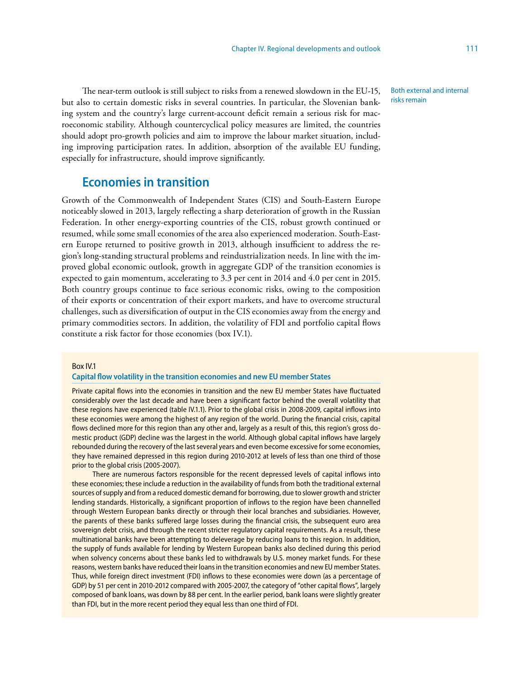The near-term outlook is still subject to risks from a renewed slowdown in the EU-15, but also to certain domestic risks in several countries. In particular, the Slovenian banking system and the country's large current-account deficit remain a serious risk for macroeconomic stability. Although countercyclical policy measures are limited, the countries should adopt pro-growth policies and aim to improve the labour market situation, including improving participation rates. In addition, absorption of the available EU funding, especially for infrastructure, should improve significantly.

# **Economies in transition**

Growth of the Commonwealth of Independent States (CIS) and South-Eastern Europe noticeably slowed in 2013, largely reflecting a sharp deterioration of growth in the Russian Federation. In other energy-exporting countries of the CIS, robust growth continued or resumed, while some small economies of the area also experienced moderation. South-Eastern Europe returned to positive growth in 2013, although insufficient to address the region's long-standing structural problems and reindustrialization needs. In line with the improved global economic outlook, growth in aggregate GDP of the transition economies is expected to gain momentum, accelerating to 3.3 per cent in 2014 and 4.0 per cent in 2015. Both country groups continue to face serious economic risks, owing to the composition of their exports or concentration of their export markets, and have to overcome structural challenges, such as diversification of output in the CIS economies away from the energy and primary commodities sectors. In addition, the volatility of FDI and portfolio capital flows constitute a risk factor for those economies (box IV.1).

### Box IV.1

### **Capital flow volatility in the transition economies and new EU member States**

Private capital flows into the economies in transition and the new EU member States have fluctuated considerably over the last decade and have been a significant factor behind the overall volatility that these regions have experienced (table IV.1.1). Prior to the global crisis in 2008-2009, capital inflows into these economies were among the highest of any region of the world. During the financial crisis, capital flows declined more for this region than any other and, largely as a result of this, this region's gross domestic product (GDP) decline was the largest in the world. Although global capital inflows have largely rebounded during the recovery of the last several years and even become excessive for some economies, they have remained depressed in this region during 2010-2012 at levels of less than one third of those prior to the global crisis (2005-2007).

There are numerous factors responsible for the recent depressed levels of capital inflows into these economies; these include a reduction in the availability of funds from both the traditional external sources of supply and from a reduced domestic demand for borrowing, due to slower growth and stricter lending standards. Historically, a significant proportion of inflows to the region have been channelled through Western European banks directly or through their local branches and subsidiaries. However, the parents of these banks suffered large losses during the financial crisis, the subsequent euro area sovereign debt crisis, and through the recent stricter regulatory capital requirements. As a result, these multinational banks have been attempting to deleverage by reducing loans to this region. In addition, the supply of funds available for lending by Western European banks also declined during this period when solvency concerns about these banks led to withdrawals by U.S. money market funds. For these reasons, western banks have reduced their loans in the transition economies and new EU member States. Thus, while foreign direct investment (FDI) inflows to these economies were down (as a percentage of GDP) by 51 per cent in 2010-2012 compared with 2005-2007, the category of "other capital flows", largely composed of bank loans, was down by 88 per cent. In the earlier period, bank loans were slightly greater than FDI, but in the more recent period they equal less than one third of FDI.

Both external and internal risks remain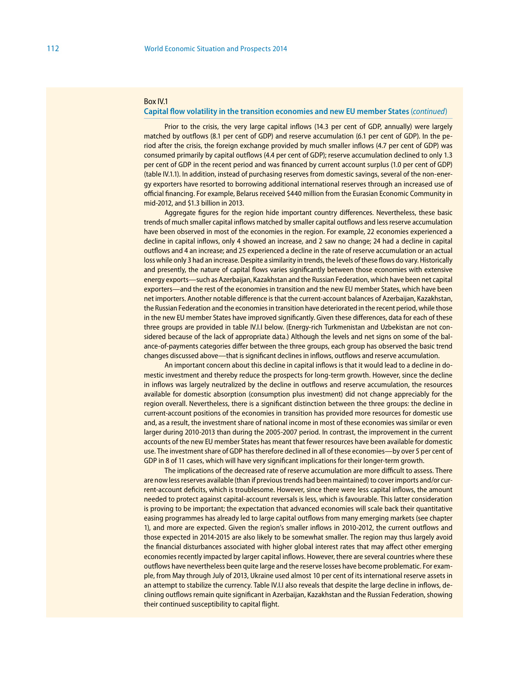#### Box IV.1

### **Capital flow volatility in the transition economies and new EU member States** (*continued*)

Prior to the crisis, the very large capital inflows (14.3 per cent of GDP, annually) were largely matched by outflows (8.1 per cent of GDP) and reserve accumulation (6.1 per cent of GDP). In the period after the crisis, the foreign exchange provided by much smaller inflows (4.7 per cent of GDP) was consumed primarily by capital outflows (4.4 per cent of GDP); reserve accumulation declined to only 1.3 per cent of GDP in the recent period and was financed by current account surplus (1.0 per cent of GDP) (table IV.1.1). In addition, instead of purchasing reserves from domestic savings, several of the non-energy exporters have resorted to borrowing additional international reserves through an increased use of official financing. For example, Belarus received \$440 million from the Eurasian Economic Community in mid-2012, and \$1.3 billion in 2013.

Aggregate figures for the region hide important country differences. Nevertheless, these basic trends of much smaller capital inflows matched by smaller capital outflows and less reserve accumulation have been observed in most of the economies in the region. For example, 22 economies experienced a decline in capital inflows, only 4 showed an increase, and 2 saw no change; 24 had a decline in capital outflows and 4 an increase; and 25 experienced a decline in the rate of reserve accumulation or an actual loss while only 3 had an increase. Despite a similarity in trends, the levels of these flows do vary. Historically and presently, the nature of capital flows varies significantly between those economies with extensive energy exports—such as Azerbaijan, Kazakhstan and the Russian Federation, which have been net capital exporters—and the rest of the economies in transition and the new EU member States, which have been net importers. Another notable difference is that the current-account balances of Azerbaijan, Kazakhstan, the Russian Federation and the economies in transition have deteriorated in the recent period, while those in the new EU member States have improved significantly. Given these differences, data for each of these three groups are provided in table IV.I.I below. (Energy-rich Turkmenistan and Uzbekistan are not considered because of the lack of appropriate data.) Although the levels and net signs on some of the balance-of-payments categories differ between the three groups, each group has observed the basic trend changes discussed above—that is significant declines in inflows, outflows and reserve accumulation.

An important concern about this decline in capital inflows is that it would lead to a decline in domestic investment and thereby reduce the prospects for long-term growth. However, since the decline in inflows was largely neutralized by the decline in outflows and reserve accumulation, the resources available for domestic absorption (consumption plus investment) did not change appreciably for the region overall. Nevertheless, there is a significant distinction between the three groups: the decline in current-account positions of the economies in transition has provided more resources for domestic use and, as a result, the investment share of national income in most of these economies was similar or even larger during 2010-2013 than during the 2005-2007 period. In contrast, the improvement in the current accounts of the new EU member States has meant that fewer resources have been available for domestic use. The investment share of GDP has therefore declined in all of these economies—by over 5 per cent of GDP in 8 of 11 cases, which will have very significant implications for their longer-term growth.

The implications of the decreased rate of reserve accumulation are more difficult to assess. There are now less reserves available (than if previous trends had been maintained) to cover imports and/or current-account deficits, which is troublesome. However, since there were less capital inflows, the amount needed to protect against capital-account reversals is less, which is favourable. This latter consideration is proving to be important; the expectation that advanced economies will scale back their quantitative easing programmes has already led to large capital outflows from many emerging markets (see chapter 1), and more are expected. Given the region's smaller inflows in 2010-2012, the current outflows and those expected in 2014-2015 are also likely to be somewhat smaller. The region may thus largely avoid the financial disturbances associated with higher global interest rates that may affect other emerging economies recently impacted by larger capital inflows. However, there are several countries where these outflows have nevertheless been quite large and the reserve losses have become problematic. For example, from May through July of 2013, Ukraine used almost 10 per cent of its international reserve assets in an attempt to stabilize the currency. Table IV.I.I also reveals that despite the large decline in inflows, declining outflows remain quite significant in Azerbaijan, Kazakhstan and the Russian Federation, showing their continued susceptibility to capital flight.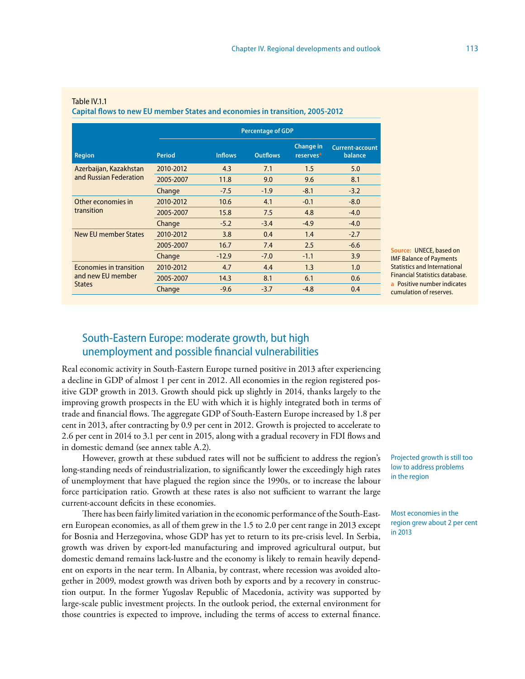|                                                                      | <b>Percentage of GDP</b> |                |                 |                                           |                                   |  |
|----------------------------------------------------------------------|--------------------------|----------------|-----------------|-------------------------------------------|-----------------------------------|--|
| <b>Region</b>                                                        | <b>Period</b>            | <b>Inflows</b> | <b>Outflows</b> | <b>Change in</b><br>reserves <sup>a</sup> | <b>Current-account</b><br>balance |  |
| Azerbaijan, Kazakhstan<br>and Russian Federation                     | 2010-2012                | 4.3            | 7.1             | 1.5                                       | 5.0                               |  |
|                                                                      | 2005-2007                | 11.8           | 9.0             | 9.6                                       | 8.1                               |  |
|                                                                      | Change                   | $-7.5$         | $-1.9$          | $-8.1$                                    | $-3.2$                            |  |
| Other economies in<br>transition                                     | 2010-2012                | 10.6           | 4.1             | $-0.1$                                    | $-8.0$                            |  |
|                                                                      | 2005-2007                | 15.8           | 7.5             | 4.8                                       | $-4.0$                            |  |
|                                                                      | Change                   | $-5.2$         | $-3.4$          | $-4.9$                                    | $-4.0$                            |  |
| New EU member States                                                 | 2010-2012                | 3.8            | 0.4             | 1.4                                       | $-2.7$                            |  |
|                                                                      | 2005-2007                | 16.7           | 7.4             | 2.5                                       | $-6.6$                            |  |
|                                                                      | Change                   | $-12.9$        | $-7.0$          | $-1.1$                                    | 3.9                               |  |
| <b>Economies in transition</b><br>and new EU member<br><b>States</b> | 2010-2012                | 4.7            | 4.4             | 1.3                                       | 1.0                               |  |
|                                                                      | 2005-2007                | 14.3           | 8.1             | 6.1                                       | 0.6                               |  |
|                                                                      | Change                   | $-9.6$         | $-3.7$          | $-4.8$                                    | 0.4                               |  |

### Table IV.1.1

**Capital flows to new EU member States and economies in transition, 2005-2012**

**Source:** UNECE, based on IMF Balance of Payments Statistics and International Financial Statistics database. **a** Positive number indicates cumulation of reserves.

# South-Eastern Europe: moderate growth, but high unemployment and possible financial vulnerabilities

Real economic activity in South-Eastern Europe turned positive in 2013 after experiencing a decline in GDP of almost 1 per cent in 2012. All economies in the region registered positive GDP growth in 2013. Growth should pick up slightly in 2014, thanks largely to the improving growth prospects in the EU with which it is highly integrated both in terms of trade and financial flows. The aggregate GDP of South-Eastern Europe increased by 1.8 per cent in 2013, after contracting by 0.9 per cent in 2012. Growth is projected to accelerate to 2.6 per cent in 2014 to 3.1 per cent in 2015, along with a gradual recovery in FDI flows and in domestic demand (see annex table A.2).

However, growth at these subdued rates will not be sufficient to address the region's long-standing needs of reindustrialization, to significantly lower the exceedingly high rates of unemployment that have plagued the region since the 1990s, or to increase the labour force participation ratio. Growth at these rates is also not sufficient to warrant the large current-account deficits in these economies.

There has been fairly limited variation in the economic performance of the South-Eastern European economies, as all of them grew in the 1.5 to 2.0 per cent range in 2013 except for Bosnia and Herzegovina, whose GDP has yet to return to its pre-crisis level. In Serbia, growth was driven by export-led manufacturing and improved agricultural output, but domestic demand remains lack-lustre and the economy is likely to remain heavily dependent on exports in the near term. In Albania, by contrast, where recession was avoided altogether in 2009, modest growth was driven both by exports and by a recovery in construction output. In the former Yugoslav Republic of Macedonia, activity was supported by large-scale public investment projects. In the outlook period, the external environment for those countries is expected to improve, including the terms of access to external finance.

Projected growth is still too low to address problems in the region

Most economies in the region grew about 2 per cent in 2013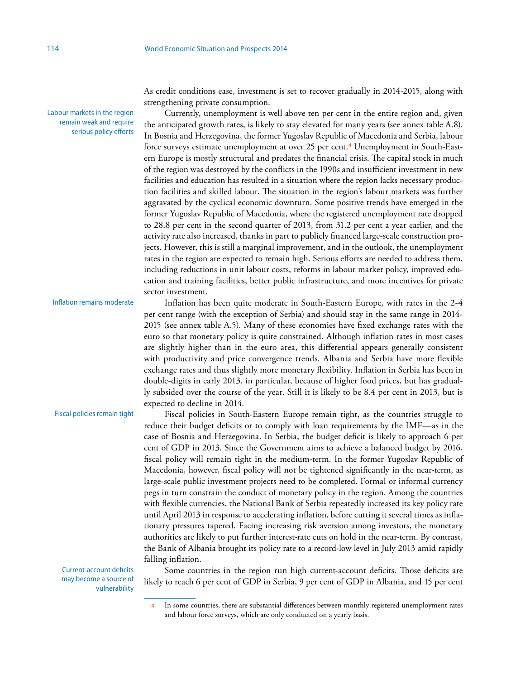Labour markets in the region remain weak and require serious policy efforts

Inflation remains moderate

Fiscal policies remain tight

Current-account deficits may become a source of vulnerability As credit conditions ease, investment is set to recover gradually in 2014-2015, along with strengthening private consumption.

Currently, unemployment is well above ten per cent in the entire region and, given the anticipated growth rates, is likely to stay elevated for many years (see annex table A.8). In Bosnia and Herzegovina, the former Yugoslav Republic of Macedonia and Serbia, labour force surveys estimate unemployment at over 25 per cent.**4** Unemployment in South-Eastern Europe is mostly structural and predates the financial crisis. The capital stock in much of the region was destroyed by the conflicts in the 1990s and insufficient investment in new facilities and education has resulted in a situation where the region lacks necessary production facilities and skilled labour. The situation in the region's labour markets was further aggravated by the cyclical economic downturn. Some positive trends have emerged in the former Yugoslav Republic of Macedonia, where the registered unemployment rate dropped to 28.8 per cent in the second quarter of 2013, from 31.2 per cent a year earlier, and the activity rate also increased, thanks in part to publicly financed large-scale construction projects. However, this is still a marginal improvement, and in the outlook, the unemployment rates in the region are expected to remain high. Serious efforts are needed to address them, including reductions in unit labour costs, reforms in labour market policy, improved education and training facilities, better public infrastructure, and more incentives for private sector investment.

Inflation has been quite moderate in South-Eastern Europe, with rates in the 2-4 per cent range (with the exception of Serbia) and should stay in the same range in 2014- 2015 (see annex table A.5). Many of these economies have fixed exchange rates with the euro so that monetary policy is quite constrained. Although inflation rates in most cases are slightly higher than in the euro area, this differential appears generally consistent with productivity and price convergence trends. Albania and Serbia have more flexible exchange rates and thus slightly more monetary flexibility. Inflation in Serbia has been in double-digits in early 2013, in particular, because of higher food prices, but has gradually subsided over the course of the year. Still it is likely to be 8.4 per cent in 2013, but is expected to decline in 2014.

Fiscal policies in South-Eastern Europe remain tight, as the countries struggle to reduce their budget deficits or to comply with loan requirements by the IMF—as in the case of Bosnia and Herzegovina. In Serbia, the budget deficit is likely to approach 6 per cent of GDP in 2013. Since the Government aims to achieve a balanced budget by 2016, fiscal policy will remain tight in the medium-term. In the former Yugoslav Republic of Macedonia, however, fiscal policy will not be tightened significantly in the near-term, as large-scale public investment projects need to be completed. Formal or informal currency pegs in turn constrain the conduct of monetary policy in the region. Among the countries with flexible currencies, the National Bank of Serbia repeatedly increased its key policy rate until April 2013 in response to accelerating inflation, before cutting it several times as inflationary pressures tapered. Facing increasing risk aversion among investors, the monetary authorities are likely to put further interest-rate cuts on hold in the near-term. By contrast, the Bank of Albania brought its policy rate to a record-low level in July 2013 amid rapidly falling inflation.

Some countries in the region run high current-account deficits. Those deficits are likely to reach 6 per cent of GDP in Serbia, 9 per cent of GDP in Albania, and 15 per cent

**<sup>4</sup>** In some countries, there are substantial differences between monthly registered unemployment rates and labour force surveys, which are only conducted on a yearly basis.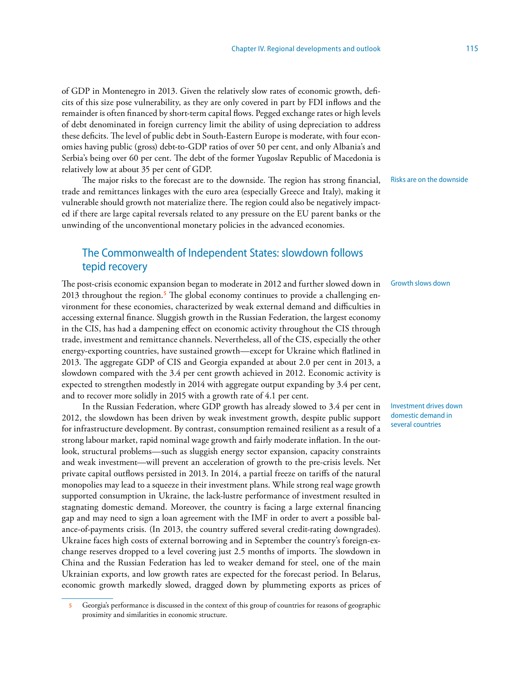of GDP in Montenegro in 2013. Given the relatively slow rates of economic growth, deficits of this size pose vulnerability, as they are only covered in part by FDI inflows and the remainder is often financed by short-term capital flows. Pegged exchange rates or high levels of debt denominated in foreign currency limit the ability of using depreciation to address these deficits. The level of public debt in South-Eastern Europe is moderate, with four economies having public (gross) debt-to-GDP ratios of over 50 per cent, and only Albania's and Serbia's being over 60 per cent. The debt of the former Yugoslav Republic of Macedonia is relatively low at about 35 per cent of GDP.

The major risks to the forecast are to the downside. The region has strong financial, trade and remittances linkages with the euro area (especially Greece and Italy), making it vulnerable should growth not materialize there. The region could also be negatively impacted if there are large capital reversals related to any pressure on the EU parent banks or the unwinding of the unconventional monetary policies in the advanced economies.

# The Commonwealth of Independent States: slowdown follows tepid recovery

The post-crisis economic expansion began to moderate in 2012 and further slowed down in 2013 throughout the region.**5** The global economy continues to provide a challenging environment for these economies, characterized by weak external demand and difficulties in accessing external finance. Sluggish growth in the Russian Federation, the largest economy in the CIS, has had a dampening effect on economic activity throughout the CIS through trade, investment and remittance channels. Nevertheless, all of the CIS, especially the other energy-exporting countries, have sustained growth—except for Ukraine which flatlined in 2013. The aggregate GDP of CIS and Georgia expanded at about 2.0 per cent in 2013, a slowdown compared with the 3.4 per cent growth achieved in 2012. Economic activity is expected to strengthen modestly in 2014 with aggregate output expanding by 3.4 per cent, and to recover more solidly in 2015 with a growth rate of 4.1 per cent.

In the Russian Federation, where GDP growth has already slowed to 3.4 per cent in 2012, the slowdown has been driven by weak investment growth, despite public support for infrastructure development. By contrast, consumption remained resilient as a result of a strong labour market, rapid nominal wage growth and fairly moderate inflation. In the outlook, structural problems—such as sluggish energy sector expansion, capacity constraints and weak investment—will prevent an acceleration of growth to the pre-crisis levels. Net private capital outflows persisted in 2013. In 2014, a partial freeze on tariffs of the natural monopolies may lead to a squeeze in their investment plans. While strong real wage growth supported consumption in Ukraine, the lack-lustre performance of investment resulted in stagnating domestic demand. Moreover, the country is facing a large external financing gap and may need to sign a loan agreement with the IMF in order to avert a possible balance-of-payments crisis. (In 2013, the country suffered several credit-rating downgrades). Ukraine faces high costs of external borrowing and in September the country's foreign-exchange reserves dropped to a level covering just 2.5 months of imports. The slowdown in China and the Russian Federation has led to weaker demand for steel, one of the main Ukrainian exports, and low growth rates are expected for the forecast period. In Belarus, economic growth markedly slowed, dragged down by plummeting exports as prices of Risks are on the downside

Growth slows down

Investment drives down domestic demand in several countries

**<sup>5</sup>** Georgia's performance is discussed in the context of this group of countries for reasons of geographic proximity and similarities in economic structure.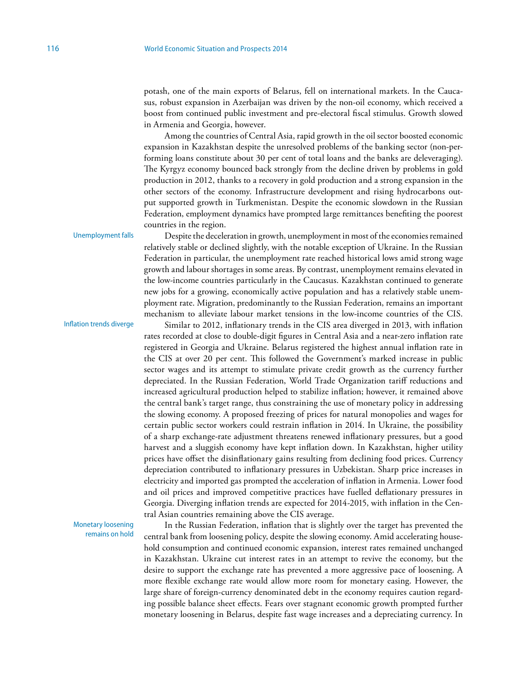potash, one of the main exports of Belarus, fell on international markets. In the Caucasus, robust expansion in Azerbaijan was driven by the non-oil economy, which received a boost from continued public investment and pre-electoral fiscal stimulus. Growth slowed in Armenia and Georgia, however.

Among the countries of Central Asia, rapid growth in the oil sector boosted economic expansion in Kazakhstan despite the unresolved problems of the banking sector (non-performing loans constitute about 30 per cent of total loans and the banks are deleveraging). The Kyrgyz economy bounced back strongly from the decline driven by problems in gold production in 2012, thanks to a recovery in gold production and a strong expansion in the other sectors of the economy. Infrastructure development and rising hydrocarbons output supported growth in Turkmenistan. Despite the economic slowdown in the Russian Federation, employment dynamics have prompted large remittances benefiting the poorest countries in the region.

Unemployment falls

Despite the deceleration in growth, unemployment in most of the economies remained relatively stable or declined slightly, with the notable exception of Ukraine. In the Russian Federation in particular, the unemployment rate reached historical lows amid strong wage growth and labour shortages in some areas. By contrast, unemployment remains elevated in the low-income countries particularly in the Caucasus. Kazakhstan continued to generate new jobs for a growing, economically active population and has a relatively stable unemployment rate. Migration, predominantly to the Russian Federation, remains an important mechanism to alleviate labour market tensions in the low-income countries of the CIS.

Inflation trends diverge

Monetary loosening remains on hold

Similar to 2012, inflationary trends in the CIS area diverged in 2013, with inflation rates recorded at close to double-digit figures in Central Asia and a near-zero inflation rate registered in Georgia and Ukraine. Belarus registered the highest annual inflation rate in the CIS at over 20 per cent. This followed the Government's marked increase in public sector wages and its attempt to stimulate private credit growth as the currency further depreciated. In the Russian Federation, World Trade Organization tariff reductions and increased agricultural production helped to stabilize inflation; however, it remained above the central bank's target range, thus constraining the use of monetary policy in addressing the slowing economy. A proposed freezing of prices for natural monopolies and wages for certain public sector workers could restrain inflation in 2014. In Ukraine, the possibility of a sharp exchange-rate adjustment threatens renewed inflationary pressures, but a good harvest and a sluggish economy have kept inflation down. In Kazakhstan, higher utility prices have offset the disinflationary gains resulting from declining food prices. Currency depreciation contributed to inflationary pressures in Uzbekistan. Sharp price increases in electricity and imported gas prompted the acceleration of inflation in Armenia. Lower food and oil prices and improved competitive practices have fuelled deflationary pressures in Georgia. Diverging inflation trends are expected for 2014-2015, with inflation in the Central Asian countries remaining above the CIS average.

In the Russian Federation, inflation that is slightly over the target has prevented the central bank from loosening policy, despite the slowing economy. Amid accelerating household consumption and continued economic expansion, interest rates remained unchanged in Kazakhstan. Ukraine cut interest rates in an attempt to revive the economy, but the desire to support the exchange rate has prevented a more aggressive pace of loosening. A more flexible exchange rate would allow more room for monetary easing. However, the large share of foreign-currency denominated debt in the economy requires caution regarding possible balance sheet effects. Fears over stagnant economic growth prompted further monetary loosening in Belarus, despite fast wage increases and a depreciating currency. In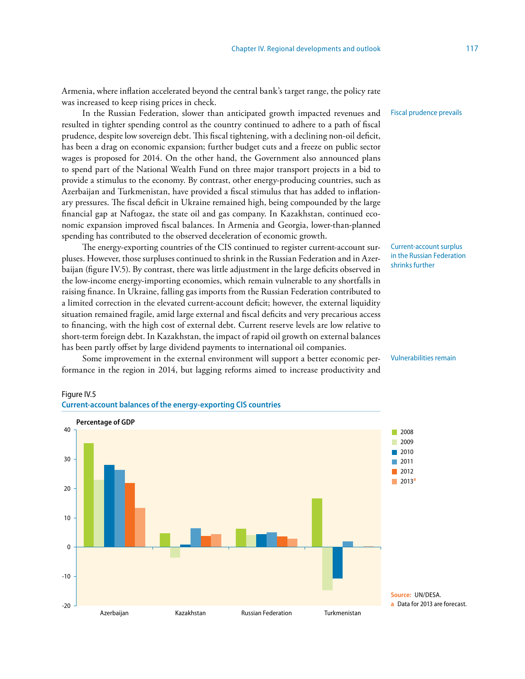Armenia, where inflation accelerated beyond the central bank's target range, the policy rate was increased to keep rising prices in check.

In the Russian Federation, slower than anticipated growth impacted revenues and resulted in tighter spending control as the country continued to adhere to a path of fiscal prudence, despite low sovereign debt. This fiscal tightening, with a declining non-oil deficit, has been a drag on economic expansion; further budget cuts and a freeze on public sector wages is proposed for 2014. On the other hand, the Government also announced plans to spend part of the National Wealth Fund on three major transport projects in a bid to provide a stimulus to the economy. By contrast, other energy-producing countries, such as Azerbaijan and Turkmenistan, have provided a fiscal stimulus that has added to inflationary pressures. The fiscal deficit in Ukraine remained high, being compounded by the large financial gap at Naftogaz, the state oil and gas company. In Kazakhstan, continued economic expansion improved fiscal balances. In Armenia and Georgia, lower-than-planned spending has contributed to the observed deceleration of economic growth.

The energy-exporting countries of the CIS continued to register current-account surpluses. However, those surpluses continued to shrink in the Russian Federation and in Azerbaijan (figure IV.5). By contrast, there was little adjustment in the large deficits observed in the low-income energy-importing economies, which remain vulnerable to any shortfalls in raising finance. In Ukraine, falling gas imports from the Russian Federation contributed to a limited correction in the elevated current-account deficit; however, the external liquidity situation remained fragile, amid large external and fiscal deficits and very precarious access to financing, with the high cost of external debt. Current reserve levels are low relative to short-term foreign debt. In Kazakhstan, the impact of rapid oil growth on external balances has been partly offset by large dividend payments to international oil companies.

Some improvement in the external environment will support a better economic performance in the region in 2014, but lagging reforms aimed to increase productivity and



Current-account surplus in the Russian Federation shrinks further

Vulnerabilities remain



### Figure IV.5 **Current-account balances of the energy-exporting CIS countries**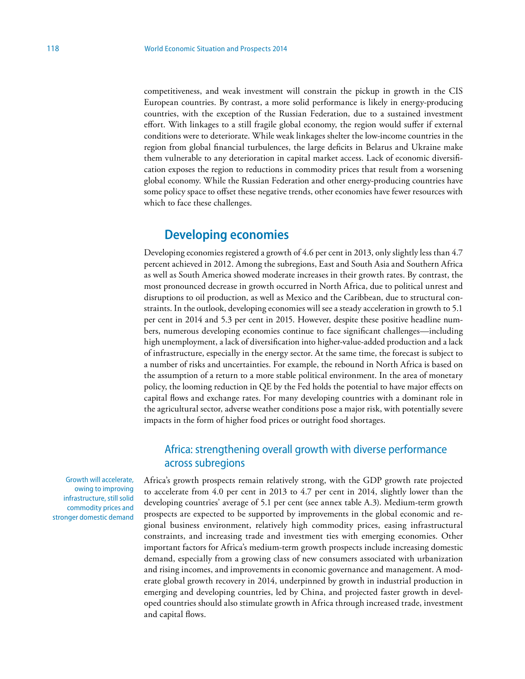competitiveness, and weak investment will constrain the pickup in growth in the CIS European countries. By contrast, a more solid performance is likely in energy-producing countries, with the exception of the Russian Federation, due to a sustained investment effort. With linkages to a still fragile global economy, the region would suffer if external conditions were to deteriorate. While weak linkages shelter the low-income countries in the region from global financial turbulences, the large deficits in Belarus and Ukraine make them vulnerable to any deterioration in capital market access. Lack of economic diversification exposes the region to reductions in commodity prices that result from a worsening global economy. While the Russian Federation and other energy-producing countries have some policy space to offset these negative trends, other economies have fewer resources with which to face these challenges.

# **Developing economies**

Developing economies registered a growth of 4.6 per cent in 2013, only slightly less than 4.7 percent achieved in 2012. Among the subregions, East and South Asia and Southern Africa as well as South America showed moderate increases in their growth rates. By contrast, the most pronounced decrease in growth occurred in North Africa, due to political unrest and disruptions to oil production, as well as Mexico and the Caribbean, due to structural constraints. In the outlook, developing economies will see a steady acceleration in growth to 5.1 per cent in 2014 and 5.3 per cent in 2015. However, despite these positive headline numbers, numerous developing economies continue to face significant challenges—including high unemployment, a lack of diversification into higher-value-added production and a lack of infrastructure, especially in the energy sector. At the same time, the forecast is subject to a number of risks and uncertainties. For example, the rebound in North Africa is based on the assumption of a return to a more stable political environment. In the area of monetary policy, the looming reduction in QE by the Fed holds the potential to have major effects on capital flows and exchange rates. For many developing countries with a dominant role in the agricultural sector, adverse weather conditions pose a major risk, with potentially severe impacts in the form of higher food prices or outright food shortages.

# Africa: strengthening overall growth with diverse performance across subregions

Africa's growth prospects remain relatively strong, with the GDP growth rate projected to accelerate from 4.0 per cent in 2013 to 4.7 per cent in 2014, slightly lower than the developing countries' average of 5.1 per cent (see annex table A.3). Medium-term growth prospects are expected to be supported by improvements in the global economic and regional business environment, relatively high commodity prices, easing infrastructural constraints, and increasing trade and investment ties with emerging economies. Other important factors for Africa's medium-term growth prospects include increasing domestic demand, especially from a growing class of new consumers associated with urbanization and rising incomes, and improvements in economic governance and management. A moderate global growth recovery in 2014, underpinned by growth in industrial production in emerging and developing countries, led by China, and projected faster growth in developed countries should also stimulate growth in Africa through increased trade, investment and capital flows.

Growth will accelerate, owing to improving infrastructure, still solid commodity prices and stronger domestic demand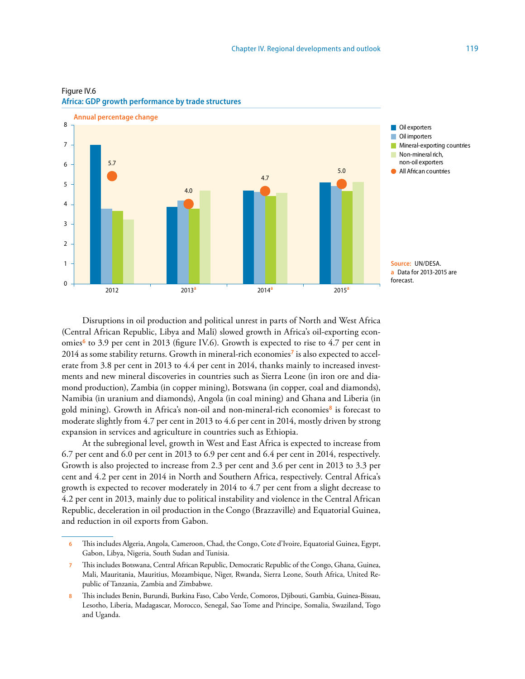

### Figure IV.6

**Africa: GDP growth performance by trade structures**

Disruptions in oil production and political unrest in parts of North and West Africa (Central African Republic, Libya and Mali) slowed growth in Africa's oil-exporting economies**<sup>6</sup>** to 3.9 per cent in 2013 (figure IV.6). Growth is expected to rise to 4.7 per cent in 2014 as some stability returns. Growth in mineral-rich economies**7** is also expected to accelerate from 3.8 per cent in 2013 to 4.4 per cent in 2014, thanks mainly to increased investments and new mineral discoveries in countries such as Sierra Leone (in iron ore and diamond production), Zambia (in copper mining), Botswana (in copper, coal and diamonds), Namibia (in uranium and diamonds), Angola (in coal mining) and Ghana and Liberia (in gold mining). Growth in Africa's non-oil and non-mineral-rich economies**<sup>8</sup>** is forecast to moderate slightly from 4.7 per cent in 2013 to 4.6 per cent in 2014, mostly driven by strong expansion in services and agriculture in countries such as Ethiopia.

At the subregional level, growth in West and East Africa is expected to increase from 6.7 per cent and 6.0 per cent in 2013 to 6.9 per cent and 6.4 per cent in 2014, respectively. Growth is also projected to increase from 2.3 per cent and 3.6 per cent in 2013 to 3.3 per cent and 4.2 per cent in 2014 in North and Southern Africa, respectively. Central Africa's growth is expected to recover moderately in 2014 to 4.7 per cent from a slight decrease to 4.2 per cent in 2013, mainly due to political instability and violence in the Central African Republic, deceleration in oil production in the Congo (Brazzaville) and Equatorial Guinea, and reduction in oil exports from Gabon.

**<sup>6</sup>** This includes Algeria, Angola, Cameroon, Chad, the Congo, Cote d'Ivoire, Equatorial Guinea, Egypt, Gabon, Libya, Nigeria, South Sudan and Tunisia.

**<sup>7</sup>** This includes Botswana, Central African Republic, Democratic Republic of the Congo, Ghana, Guinea, Mali, Mauritania, Mauritius, Mozambique, Niger, Rwanda, Sierra Leone, South Africa, United Republic of Tanzania, Zambia and Zimbabwe.

**<sup>8</sup>** This includes Benin, Burundi, Burkina Faso, Cabo Verde, Comoros, Djibouti, Gambia, Guinea-Bissau, Lesotho, Liberia, Madagascar, Morocco, Senegal, Sao Tome and Principe, Somalia, Swaziland, Togo and Uganda.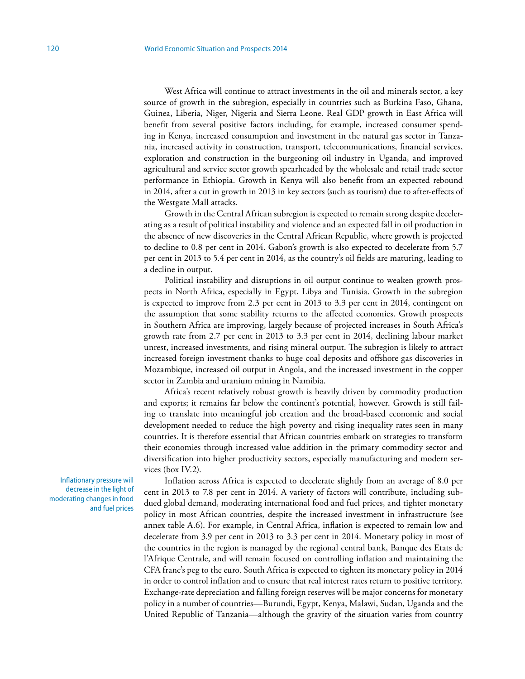West Africa will continue to attract investments in the oil and minerals sector, a key source of growth in the subregion, especially in countries such as Burkina Faso, Ghana, Guinea, Liberia, Niger, Nigeria and Sierra Leone. Real GDP growth in East Africa will benefit from several positive factors including, for example, increased consumer spending in Kenya, increased consumption and investment in the natural gas sector in Tanzania, increased activity in construction, transport, telecommunications, financial services, exploration and construction in the burgeoning oil industry in Uganda, and improved agricultural and service sector growth spearheaded by the wholesale and retail trade sector performance in Ethiopia. Growth in Kenya will also benefit from an expected rebound in 2014, after a cut in growth in 2013 in key sectors (such as tourism) due to after-effects of the Westgate Mall attacks.

Growth in the Central African subregion is expected to remain strong despite decelerating as a result of political instability and violence and an expected fall in oil production in the absence of new discoveries in the Central African Republic, where growth is projected to decline to 0.8 per cent in 2014. Gabon's growth is also expected to decelerate from 5.7 per cent in 2013 to 5.4 per cent in 2014, as the country's oil fields are maturing, leading to a decline in output.

Political instability and disruptions in oil output continue to weaken growth prospects in North Africa, especially in Egypt, Libya and Tunisia. Growth in the subregion is expected to improve from 2.3 per cent in 2013 to 3.3 per cent in 2014, contingent on the assumption that some stability returns to the affected economies. Growth prospects in Southern Africa are improving, largely because of projected increases in South Africa's growth rate from 2.7 per cent in 2013 to 3.3 per cent in 2014, declining labour market unrest, increased investments, and rising mineral output. The subregion is likely to attract increased foreign investment thanks to huge coal deposits and offshore gas discoveries in Mozambique, increased oil output in Angola, and the increased investment in the copper sector in Zambia and uranium mining in Namibia.

Africa's recent relatively robust growth is heavily driven by commodity production and exports; it remains far below the continent's potential, however. Growth is still failing to translate into meaningful job creation and the broad-based economic and social development needed to reduce the high poverty and rising inequality rates seen in many countries. It is therefore essential that African countries embark on strategies to transform their economies through increased value addition in the primary commodity sector and diversification into higher productivity sectors, especially manufacturing and modern services (box IV.2).

Inflation across Africa is expected to decelerate slightly from an average of 8.0 per cent in 2013 to 7.8 per cent in 2014. A variety of factors will contribute, including subdued global demand, moderating international food and fuel prices, and tighter monetary policy in most African countries, despite the increased investment in infrastructure (see annex table A.6). For example, in Central Africa, inflation is expected to remain low and decelerate from 3.9 per cent in 2013 to 3.3 per cent in 2014. Monetary policy in most of the countries in the region is managed by the regional central bank, Banque des Etats de l'Afrique Centrale, and will remain focused on controlling inflation and maintaining the CFA franc's peg to the euro. South Africa is expected to tighten its monetary policy in 2014 in order to control inflation and to ensure that real interest rates return to positive territory. Exchange-rate depreciation and falling foreign reserves will be major concerns for monetary policy in a number of countries—Burundi, Egypt, Kenya, Malawi, Sudan, Uganda and the United Republic of Tanzania—although the gravity of the situation varies from country

Inflationary pressure will decrease in the light of moderating changes in food and fuel prices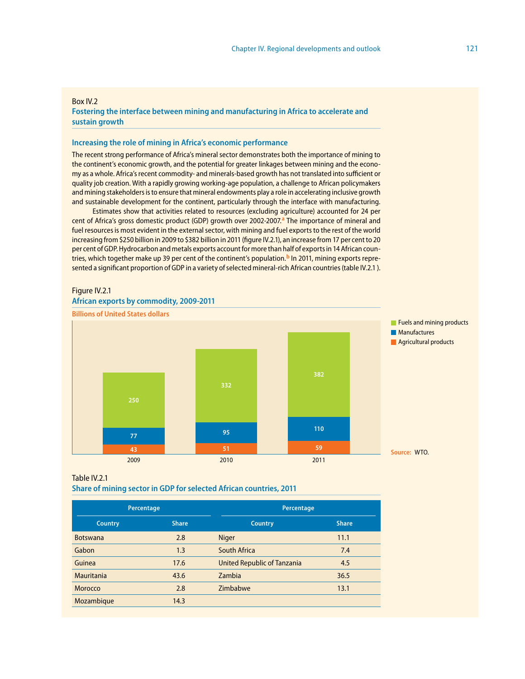#### Box IV.2

**Fostering the interface between mining and manufacturing in Africa to accelerate and sustain growth**

#### **Increasing the role of mining in Africa's economic performance**

The recent strong performance of Africa's mineral sector demonstrates both the importance of mining to the continent's economic growth, and the potential for greater linkages between mining and the economy as a whole. Africa's recent commodity- and minerals-based growth has not translated into sufficient or quality job creation. With a rapidly growing working-age population, a challenge to African policymakers and mining stakeholders is to ensure that mineral endowments play a role in accelerating inclusive growth and sustainable development for the continent, particularly through the interface with manufacturing.

Estimates show that activities related to resources (excluding agriculture) accounted for 24 per cent of Africa's gross domestic product (GDP) growth over 2002-2007.**a** The importance of mineral and fuel resources is most evident in the external sector, with mining and fuel exports to the rest of the world increasing from \$250 billion in 2009 to \$382 billion in 2011 (figure IV.2.1), an increase from 17 per cent to 20 per cent of GDP. Hydrocarbon and metals exports account for more than half of exports in 14 African countries, which together make up 39 per cent of the continent's population.**b** In 2011, mining exports represented a significant proportion of GDP in a variety of selected mineral-rich African countries (table IV.2.1 ).

### Figure IV.2.1 **African exports by commodity, 2009-2011**



### Table IV.2.1 **Share of mining sector in GDP for selected African countries, 2011**

| Percentage      |              | Percentage                  |              |  |
|-----------------|--------------|-----------------------------|--------------|--|
| <b>Country</b>  | <b>Share</b> | <b>Country</b>              | <b>Share</b> |  |
| <b>Botswana</b> | 2.8          | <b>Niger</b>                | 11.1         |  |
| Gabon           | 1.3          | South Africa                | 7.4          |  |
| Guinea          | 17.6         | United Republic of Tanzania | 4.5          |  |
| Mauritania      | 43.6         | Zambia                      | 36.5         |  |
| Morocco         | 2.8          | Zimbabwe                    | 13.1         |  |
| Mozambique      | 14.3         |                             |              |  |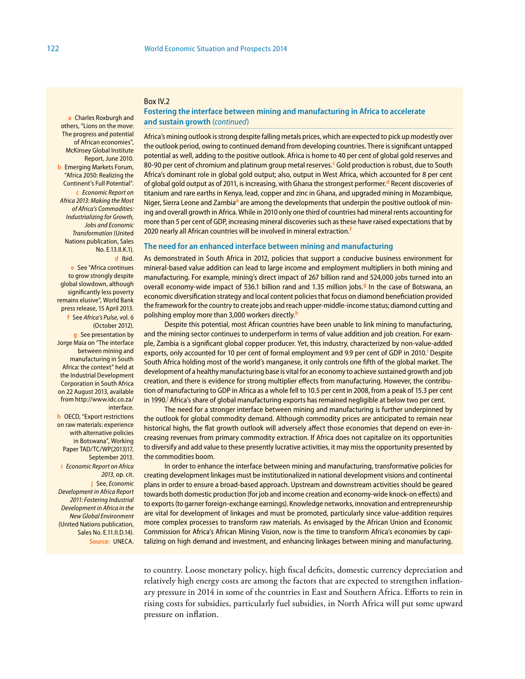#### Box IV.2

**a** Charles Roxburgh and others, "Lions on the move: The progress and potential of African economies", McKinsey Global Institute Report, June 2010. **b** Emerging Markets Forum, "Africa 2050: Realizing the Continent's Full Potential". **c** *Economic Report on Africa 2013: Making the Most of Africa's Commodities: Industrializing for Growth, Jobs and Economic Transformation* (United Nations publication, Sales No. E.13.II.K.1). **d** Ibid.

**e** See "Africa continues to grow strongly despite global slowdown, although significantly less poverty remains elusive", World Bank press release, 15 April 2013. **f** See *Africa's Pulse*, vol. 6 (October 2012). **g** See presentation by Jorge Maia on "The interface between mining and manufacturing in South Africa: the context" held at the Industrial Development Corporation in South Africa on 22 August 2013, available from http://www.idc.co.za/ interface. **h** OECD, "Export restrictions on raw materials: experience with alternative policies in Botswana", Working

Paper TAD/TC/WP(2013)17, September 2013. **i** *Economic Report on Africa 2013*, op. cit. **j** See, *Economic Development in Africa Report 2011: Fostering Industrial Development in Africa in the New Global Environment*  (United Nations publication, Sales No. E.11.II.D.14). **Source:** UNECA.

### **Fostering the interface between mining and manufacturing in Africa to accelerate and sustain growth** (*continued*)

Africa's mining outlook is strong despite falling metals prices, which are expected to pick up modestly over the outlook period, owing to continued demand from developing countries. There is significant untapped potential as well, adding to the positive outlook. Africa is home to 40 per cent of global gold reserves and 80-90 per cent of chromium and platinum group metal reserves.**<sup>c</sup>** Gold production is robust, due to South Africa's dominant role in global gold output; also, output in West Africa, which accounted for 8 per cent of global gold output as of 2011, is increasing, with Ghana the strongest performer.**d** Recent discoveries of titanium and rare earths in Kenya, lead, copper and zinc in Ghana, and upgraded mining in Mozambique, Niger, Sierra Leone and Zambia**e** are among the developments that underpin the positive outlook of mining and overall growth in Africa. While in 2010 only one third of countries had mineral rents accounting for more than 5 per cent of GDP, increasing mineral discoveries such as these have raised expectations that by 2020 nearly all African countries will be involved in mineral extraction.**<sup>f</sup>**

#### **The need for an enhanced interface between mining and manufacturing**

As demonstrated in South Africa in 2012, policies that support a conducive business environment for mineral-based value addition can lead to large income and employment multipliers in both mining and manufacturing. For example, mining's direct impact of 267 billion rand and 524,000 jobs turned into an overall economy-wide impact of 536.1 billion rand and 1.35 million jobs.**g** In the case of Botswana, an economic diversification strategy and local content policies that focus on diamond beneficiation provided the framework for the country to create jobs and reach upper-middle-income status; diamond cutting and polishing employ more than 3,000 workers directly.**<sup>h</sup>**

Despite this potential, most African countries have been unable to link mining to manufacturing, and the mining sector continues to underperform in terms of value addition and job creation. For example, Zambia is a significant global copper producer. Yet, this industry, characterized by non-value-added exports, only accounted for 10 per cent of formal employment and 9.9 per cent of GDP in 2010.**<sup>i</sup>** Despite South Africa holding most of the world's manganese, it only controls one fifth of the global market. The development of a healthy manufacturing base is vital for an economy to achieve sustained growth and job creation, and there is evidence for strong multiplier effects from manufacturing. However, the contribution of manufacturing to GDP in Africa as a whole fell to 10.5 per cent in 2008, from a peak of 15.3 per cent in 1990.**<sup>j</sup>** Africa's share of global manufacturing exports has remained negligible at below two per cent.

The need for a stronger interface between mining and manufacturing is further underpinned by the outlook for global commodity demand. Although commodity prices are anticipated to remain near historical highs, the flat growth outlook will adversely affect those economies that depend on ever-increasing revenues from primary commodity extraction. If Africa does not capitalize on its opportunities to diversify and add value to these presently lucrative activities, it may miss the opportunity presented by the commodities boom.

In order to enhance the interface between mining and manufacturing, transformative policies for creating development linkages must be institutionalized in national development visions and continental plans in order to ensure a broad-based approach. Upstream and downstream activities should be geared towards both domestic production (for job and income creation and economy-wide knock-on effects) and to exports (to garner foreign-exchange earnings). Knowledge networks, innovation and entrepreneurship are vital for development of linkages and must be promoted, particularly since value-addition requires more complex processes to transform raw materials. As envisaged by the African Union and Economic Commission for Africa's African Mining Vision, now is the time to transform Africa's economies by capitalizing on high demand and investment, and enhancing linkages between mining and manufacturing.

to country. Loose monetary policy, high fiscal deficits, domestic currency depreciation and relatively high energy costs are among the factors that are expected to strengthen inflationary pressure in 2014 in some of the countries in East and Southern Africa. Efforts to rein in rising costs for subsidies, particularly fuel subsidies, in North Africa will put some upward pressure on inflation.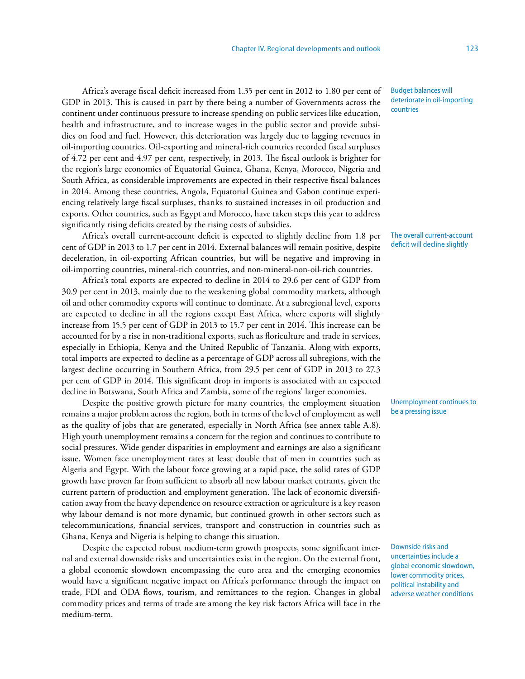Africa's average fiscal deficit increased from 1.35 per cent in 2012 to 1.80 per cent of GDP in 2013. This is caused in part by there being a number of Governments across the continent under continuous pressure to increase spending on public services like education, health and infrastructure, and to increase wages in the public sector and provide subsidies on food and fuel. However, this deterioration was largely due to lagging revenues in oil-importing countries. Oil-exporting and mineral-rich countries recorded fiscal surpluses of 4.72 per cent and 4.97 per cent, respectively, in 2013. The fiscal outlook is brighter for the region's large economies of Equatorial Guinea, Ghana, Kenya, Morocco, Nigeria and South Africa, as considerable improvements are expected in their respective fiscal balances in 2014. Among these countries, Angola, Equatorial Guinea and Gabon continue experiencing relatively large fiscal surpluses, thanks to sustained increases in oil production and exports. Other countries, such as Egypt and Morocco, have taken steps this year to address significantly rising deficits created by the rising costs of subsidies.

Africa's overall current-account deficit is expected to slightly decline from 1.8 per cent of GDP in 2013 to 1.7 per cent in 2014. External balances will remain positive, despite deceleration, in oil-exporting African countries, but will be negative and improving in oil-importing countries, mineral-rich countries, and non-mineral-non-oil-rich countries.

Africa's total exports are expected to decline in 2014 to 29.6 per cent of GDP from 30.9 per cent in 2013, mainly due to the weakening global commodity markets, although oil and other commodity exports will continue to dominate. At a subregional level, exports are expected to decline in all the regions except East Africa, where exports will slightly increase from 15.5 per cent of GDP in 2013 to 15.7 per cent in 2014. This increase can be accounted for by a rise in non-traditional exports, such as floriculture and trade in services, especially in Ethiopia, Kenya and the United Republic of Tanzania. Along with exports, total imports are expected to decline as a percentage of GDP across all subregions, with the largest decline occurring in Southern Africa, from 29.5 per cent of GDP in 2013 to 27.3 per cent of GDP in 2014. This significant drop in imports is associated with an expected decline in Botswana, South Africa and Zambia, some of the regions' larger economies.

Despite the positive growth picture for many countries, the employment situation remains a major problem across the region, both in terms of the level of employment as well as the quality of jobs that are generated, especially in North Africa (see annex table A.8). High youth unemployment remains a concern for the region and continues to contribute to social pressures. Wide gender disparities in employment and earnings are also a significant issue. Women face unemployment rates at least double that of men in countries such as Algeria and Egypt. With the labour force growing at a rapid pace, the solid rates of GDP growth have proven far from sufficient to absorb all new labour market entrants, given the current pattern of production and employment generation. The lack of economic diversification away from the heavy dependence on resource extraction or agriculture is a key reason why labour demand is not more dynamic, but continued growth in other sectors such as telecommunications, financial services, transport and construction in countries such as Ghana, Kenya and Nigeria is helping to change this situation.

Despite the expected robust medium-term growth prospects, some significant internal and external downside risks and uncertainties exist in the region. On the external front, a global economic slowdown encompassing the euro area and the emerging economies would have a significant negative impact on Africa's performance through the impact on trade, FDI and ODA flows, tourism, and remittances to the region. Changes in global commodity prices and terms of trade are among the key risk factors Africa will face in the medium-term.

Budget balances will deteriorate in oil-importing countries

The overall current-account deficit will decline slightly

Unemployment continues to be a pressing issue

Downside risks and uncertainties include a global economic slowdown, lower commodity prices, political instability and adverse weather conditions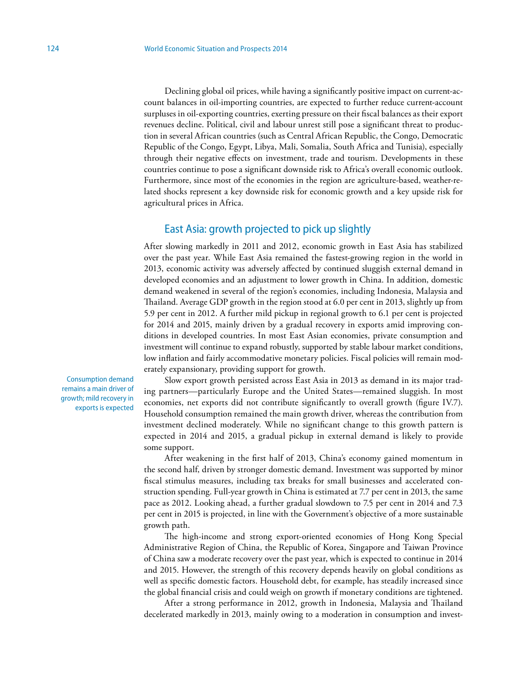Declining global oil prices, while having a significantly positive impact on current-account balances in oil-importing countries, are expected to further reduce current-account surpluses in oil-exporting countries, exerting pressure on their fiscal balances as their export revenues decline. Political, civil and labour unrest still pose a significant threat to production in several African countries (such as Central African Republic, the Congo, Democratic Republic of the Congo, Egypt, Libya, Mali, Somalia, South Africa and Tunisia), especially through their negative effects on investment, trade and tourism. Developments in these countries continue to pose a significant downside risk to Africa's overall economic outlook. Furthermore, since most of the economies in the region are agriculture-based, weather-related shocks represent a key downside risk for economic growth and a key upside risk for agricultural prices in Africa.

# East Asia: growth projected to pick up slightly

After slowing markedly in 2011 and 2012, economic growth in East Asia has stabilized over the past year. While East Asia remained the fastest-growing region in the world in 2013, economic activity was adversely affected by continued sluggish external demand in developed economies and an adjustment to lower growth in China. In addition, domestic demand weakened in several of the region's economies, including Indonesia, Malaysia and Thailand. Average GDP growth in the region stood at 6.0 per cent in 2013, slightly up from 5.9 per cent in 2012. A further mild pickup in regional growth to 6.1 per cent is projected for 2014 and 2015, mainly driven by a gradual recovery in exports amid improving conditions in developed countries. In most East Asian economies, private consumption and investment will continue to expand robustly, supported by stable labour market conditions, low inflation and fairly accommodative monetary policies. Fiscal policies will remain moderately expansionary, providing support for growth.

Consumption demand remains a main driver of growth; mild recovery in exports is expected

Slow export growth persisted across East Asia in 2013 as demand in its major trading partners—particularly Europe and the United States—remained sluggish. In most economies, net exports did not contribute significantly to overall growth (figure IV.7). Household consumption remained the main growth driver, whereas the contribution from investment declined moderately. While no significant change to this growth pattern is expected in 2014 and 2015, a gradual pickup in external demand is likely to provide some support.

After weakening in the first half of 2013, China's economy gained momentum in the second half, driven by stronger domestic demand. Investment was supported by minor fiscal stimulus measures, including tax breaks for small businesses and accelerated construction spending. Full-year growth in China is estimated at 7.7 per cent in 2013, the same pace as 2012. Looking ahead, a further gradual slowdown to 7.5 per cent in 2014 and 7.3 per cent in 2015 is projected, in line with the Government's objective of a more sustainable growth path.

The high-income and strong export-oriented economies of Hong Kong Special Administrative Region of China, the Republic of Korea, Singapore and Taiwan Province of China saw a moderate recovery over the past year, which is expected to continue in 2014 and 2015. However, the strength of this recovery depends heavily on global conditions as well as specific domestic factors. Household debt, for example, has steadily increased since the global financial crisis and could weigh on growth if monetary conditions are tightened.

After a strong performance in 2012, growth in Indonesia, Malaysia and Thailand decelerated markedly in 2013, mainly owing to a moderation in consumption and invest-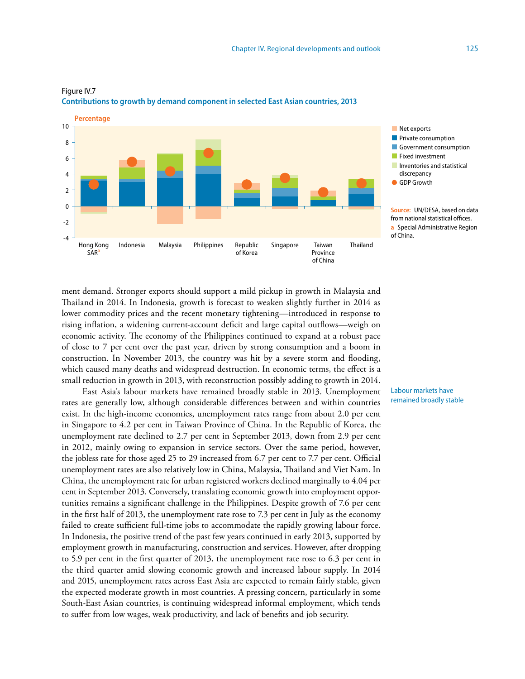





from national statistical offices. **a** Special Administrative Region of China.

ment demand. Stronger exports should support a mild pickup in growth in Malaysia and Thailand in 2014. In Indonesia, growth is forecast to weaken slightly further in 2014 as lower commodity prices and the recent monetary tightening—introduced in response to rising inflation, a widening current-account deficit and large capital outflows—weigh on economic activity. The economy of the Philippines continued to expand at a robust pace of close to 7 per cent over the past year, driven by strong consumption and a boom in construction. In November 2013, the country was hit by a severe storm and flooding, which caused many deaths and widespread destruction. In economic terms, the effect is a small reduction in growth in 2013, with reconstruction possibly adding to growth in 2014.

East Asia's labour markets have remained broadly stable in 2013. Unemployment rates are generally low, although considerable differences between and within countries exist. In the high-income economies, unemployment rates range from about 2.0 per cent in Singapore to 4.2 per cent in Taiwan Province of China. In the Republic of Korea, the unemployment rate declined to 2.7 per cent in September 2013, down from 2.9 per cent in 2012, mainly owing to expansion in service sectors. Over the same period, however, the jobless rate for those aged 25 to 29 increased from 6.7 per cent to 7.7 per cent. Official unemployment rates are also relatively low in China, Malaysia, Thailand and Viet Nam. In China, the unemployment rate for urban registered workers declined marginally to 4.04 per cent in September 2013. Conversely, translating economic growth into employment opportunities remains a significant challenge in the Philippines. Despite growth of 7.6 per cent in the first half of 2013, the unemployment rate rose to 7.3 per cent in July as the economy failed to create sufficient full-time jobs to accommodate the rapidly growing labour force. In Indonesia, the positive trend of the past few years continued in early 2013, supported by employment growth in manufacturing, construction and services. However, after dropping to 5.9 per cent in the first quarter of 2013, the unemployment rate rose to 6.3 per cent in the third quarter amid slowing economic growth and increased labour supply. In 2014 and 2015, unemployment rates across East Asia are expected to remain fairly stable, given the expected moderate growth in most countries. A pressing concern, particularly in some South-East Asian countries, is continuing widespread informal employment, which tends to suffer from low wages, weak productivity, and lack of benefits and job security.

Labour markets have remained broadly stable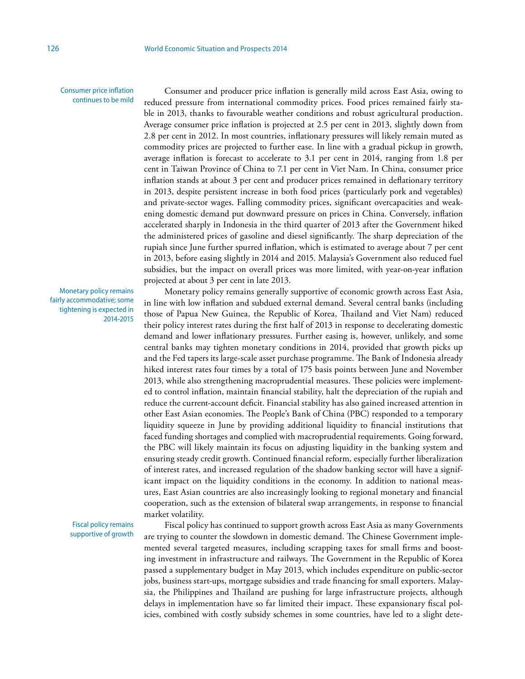Consumer price inflation continues to be mild

Consumer and producer price inflation is generally mild across East Asia, owing to reduced pressure from international commodity prices. Food prices remained fairly stable in 2013, thanks to favourable weather conditions and robust agricultural production. Average consumer price inflation is projected at 2.5 per cent in 2013, slightly down from 2.8 per cent in 2012. In most countries, inflationary pressures will likely remain muted as commodity prices are projected to further ease. In line with a gradual pickup in growth, average inflation is forecast to accelerate to 3.1 per cent in 2014, ranging from 1.8 per cent in Taiwan Province of China to 7.1 per cent in Viet Nam. In China, consumer price inflation stands at about 3 per cent and producer prices remained in deflationary territory in 2013, despite persistent increase in both food prices (particularly pork and vegetables) and private-sector wages. Falling commodity prices, significant overcapacities and weakening domestic demand put downward pressure on prices in China. Conversely, inflation accelerated sharply in Indonesia in the third quarter of 2013 after the Government hiked the administered prices of gasoline and diesel significantly. The sharp depreciation of the rupiah since June further spurred inflation, which is estimated to average about 7 per cent in 2013, before easing slightly in 2014 and 2015. Malaysia's Government also reduced fuel subsidies, but the impact on overall prices was more limited, with year-on-year inflation projected at about 3 per cent in late 2013.

Monetary policy remains fairly accommodative; some tightening is expected in 2014-2015

> Fiscal policy remains supportive of growth

Monetary policy remains generally supportive of economic growth across East Asia, in line with low inflation and subdued external demand. Several central banks (including those of Papua New Guinea, the Republic of Korea, Thailand and Viet Nam) reduced their policy interest rates during the first half of 2013 in response to decelerating domestic demand and lower inflationary pressures. Further easing is, however, unlikely, and some central banks may tighten monetary conditions in 2014, provided that growth picks up and the Fed tapers its large-scale asset purchase programme. The Bank of Indonesia already hiked interest rates four times by a total of 175 basis points between June and November 2013, while also strengthening macroprudential measures. These policies were implemented to control inflation, maintain financial stability, halt the depreciation of the rupiah and reduce the current-account deficit. Financial stability has also gained increased attention in other East Asian economies. The People's Bank of China (PBC) responded to a temporary liquidity squeeze in June by providing additional liquidity to financial institutions that faced funding shortages and complied with macroprudential requirements. Going forward, the PBC will likely maintain its focus on adjusting liquidity in the banking system and ensuring steady credit growth. Continued financial reform, especially further liberalization of interest rates, and increased regulation of the shadow banking sector will have a significant impact on the liquidity conditions in the economy. In addition to national measures, East Asian countries are also increasingly looking to regional monetary and financial cooperation, such as the extension of bilateral swap arrangements, in response to financial market volatility.

Fiscal policy has continued to support growth across East Asia as many Governments are trying to counter the slowdown in domestic demand. The Chinese Government implemented several targeted measures, including scrapping taxes for small firms and boosting investment in infrastructure and railways. The Government in the Republic of Korea passed a supplementary budget in May 2013, which includes expenditure on public-sector jobs, business start-ups, mortgage subsidies and trade financing for small exporters. Malaysia, the Philippines and Thailand are pushing for large infrastructure projects, although delays in implementation have so far limited their impact. These expansionary fiscal policies, combined with costly subsidy schemes in some countries, have led to a slight dete-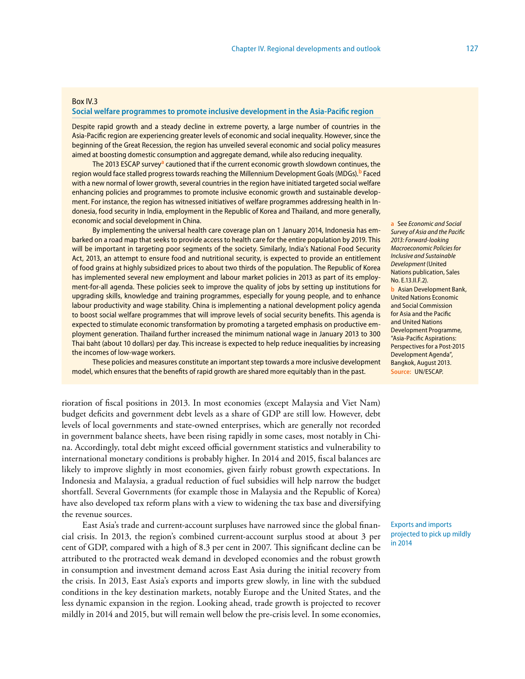#### Box IV.3

### **Social welfare programmes to promote inclusive development in the Asia-Pacific region**

Despite rapid growth and a steady decline in extreme poverty, a large number of countries in the Asia-Pacific region are experiencing greater levels of economic and social inequality. However, since the beginning of the Great Recession, the region has unveiled several economic and social policy measures aimed at boosting domestic consumption and aggregate demand, while also reducing inequality.

The 2013 ESCAP survey**a** cautioned that if the current economic growth slowdown continues, the region would face stalled progress towards reaching the Millennium Development Goals (MDGs).**b** Faced with a new normal of lower growth, several countries in the region have initiated targeted social welfare enhancing policies and programmes to promote inclusive economic growth and sustainable development. For instance, the region has witnessed initiatives of welfare programmes addressing health in Indonesia, food security in India, employment in the Republic of Korea and Thailand, and more generally, economic and social development in China.

By implementing the universal health care coverage plan on 1 January 2014, Indonesia has embarked on a road map that seeks to provide access to health care for the entire population by 2019. This will be important in targeting poor segments of the society. Similarly, India's National Food Security Act, 2013, an attempt to ensure food and nutritional security, is expected to provide an entitlement of food grains at highly subsidized prices to about two thirds of the population. The Republic of Korea has implemented several new employment and labour market policies in 2013 as part of its employment-for-all agenda. These policies seek to improve the quality of jobs by setting up institutions for upgrading skills, knowledge and training programmes, especially for young people, and to enhance labour productivity and wage stability. China is implementing a national development policy agenda to boost social welfare programmes that will improve levels of social security benefits. This agenda is expected to stimulate economic transformation by promoting a targeted emphasis on productive employment generation. Thailand further increased the minimum national wage in January 2013 to 300 Thai baht (about 10 dollars) per day. This increase is expected to help reduce inequalities by increasing the incomes of low-wage workers.

These policies and measures constitute an important step towards a more inclusive development model, which ensures that the benefits of rapid growth are shared more equitably than in the past.

rioration of fiscal positions in 2013. In most economies (except Malaysia and Viet Nam) budget deficits and government debt levels as a share of GDP are still low. However, debt levels of local governments and state-owned enterprises, which are generally not recorded in government balance sheets, have been rising rapidly in some cases, most notably in China. Accordingly, total debt might exceed official government statistics and vulnerability to international monetary conditions is probably higher. In 2014 and 2015, fiscal balances are likely to improve slightly in most economies, given fairly robust growth expectations. In Indonesia and Malaysia, a gradual reduction of fuel subsidies will help narrow the budget shortfall. Several Governments (for example those in Malaysia and the Republic of Korea) have also developed tax reform plans with a view to widening the tax base and diversifying the revenue sources.

East Asia's trade and current-account surpluses have narrowed since the global financial crisis. In 2013, the region's combined current-account surplus stood at about 3 per cent of GDP, compared with a high of 8.3 per cent in 2007. This significant decline can be attributed to the protracted weak demand in developed economies and the robust growth in consumption and investment demand across East Asia during the initial recovery from the crisis. In 2013, East Asia's exports and imports grew slowly, in line with the subdued conditions in the key destination markets, notably Europe and the United States, and the less dynamic expansion in the region. Looking ahead, trade growth is projected to recover mildly in 2014 and 2015, but will remain well below the pre-crisis level. In some economies,

**a** See *Economic and Social Survey of Asia and the Pacific 2013: Forward-looking Macroeconomic Policies for Inclusive and Sustainable Development* (United Nations publication, Sales No. E.13.II.F.2).

**b** Asian Development Bank, United Nations Economic and Social Commission for Asia and the Pacific and United Nations Development Programme, "Asia-Pacific Aspirations: Perspectives for a Post-2015 Development Agenda", Bangkok, August 2013. **Source:** UN/ESCAP.

Exports and imports projected to pick up mildly in 2014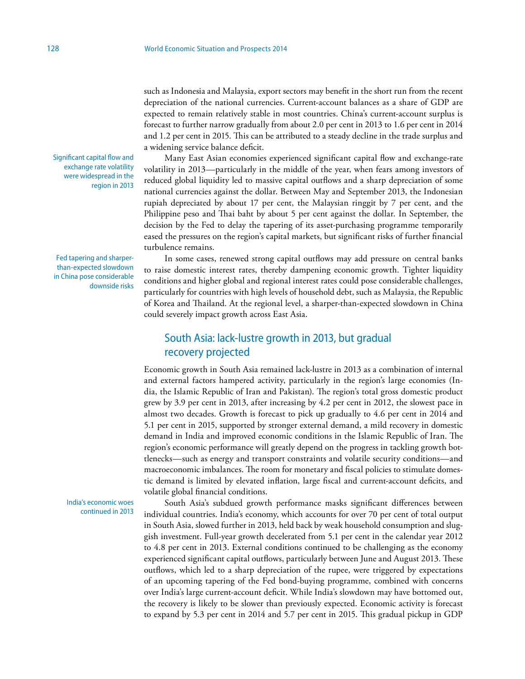such as Indonesia and Malaysia, export sectors may benefit in the short run from the recent depreciation of the national currencies. Current-account balances as a share of GDP are expected to remain relatively stable in most countries. China's current-account surplus is forecast to further narrow gradually from about 2.0 per cent in 2013 to 1.6 per cent in 2014 and 1.2 per cent in 2015. This can be attributed to a steady decline in the trade surplus and a widening service balance deficit.

Many East Asian economies experienced significant capital flow and exchange-rate volatility in 2013—particularly in the middle of the year, when fears among investors of reduced global liquidity led to massive capital outflows and a sharp depreciation of some national currencies against the dollar. Between May and September 2013, the Indonesian rupiah depreciated by about 17 per cent, the Malaysian ringgit by 7 per cent, and the Philippine peso and Thai baht by about 5 per cent against the dollar. In September, the decision by the Fed to delay the tapering of its asset-purchasing programme temporarily eased the pressures on the region's capital markets, but significant risks of further financial turbulence remains.

In some cases, renewed strong capital outflows may add pressure on central banks to raise domestic interest rates, thereby dampening economic growth. Tighter liquidity conditions and higher global and regional interest rates could pose considerable challenges, particularly for countries with high levels of household debt, such as Malaysia, the Republic of Korea and Thailand. At the regional level, a sharper-than-expected slowdown in China could severely impact growth across East Asia.

# South Asia: lack-lustre growth in 2013, but gradual recovery projected

Economic growth in South Asia remained lack-lustre in 2013 as a combination of internal and external factors hampered activity, particularly in the region's large economies (India, the Islamic Republic of Iran and Pakistan). The region's total gross domestic product grew by 3.9 per cent in 2013, after increasing by 4.2 per cent in 2012, the slowest pace in almost two decades. Growth is forecast to pick up gradually to 4.6 per cent in 2014 and 5.1 per cent in 2015, supported by stronger external demand, a mild recovery in domestic demand in India and improved economic conditions in the Islamic Republic of Iran. The region's economic performance will greatly depend on the progress in tackling growth bottlenecks—such as energy and transport constraints and volatile security conditions—and macroeconomic imbalances. The room for monetary and fiscal policies to stimulate domestic demand is limited by elevated inflation, large fiscal and current-account deficits, and volatile global financial conditions.

South Asia's subdued growth performance masks significant differences between individual countries. India's economy, which accounts for over 70 per cent of total output in South Asia, slowed further in 2013, held back by weak household consumption and sluggish investment. Full-year growth decelerated from 5.1 per cent in the calendar year 2012 to 4.8 per cent in 2013. External conditions continued to be challenging as the economy experienced significant capital outflows, particularly between June and August 2013. These outflows, which led to a sharp depreciation of the rupee, were triggered by expectations of an upcoming tapering of the Fed bond-buying programme, combined with concerns over India's large current-account deficit. While India's slowdown may have bottomed out, the recovery is likely to be slower than previously expected. Economic activity is forecast to expand by 5.3 per cent in 2014 and 5.7 per cent in 2015. This gradual pickup in GDP

Significant capital flow and exchange rate volatility were widespread in the region in 2013

Fed tapering and sharperthan-expected slowdown in China pose considerable downside risks

> India's economic woes continued in 2013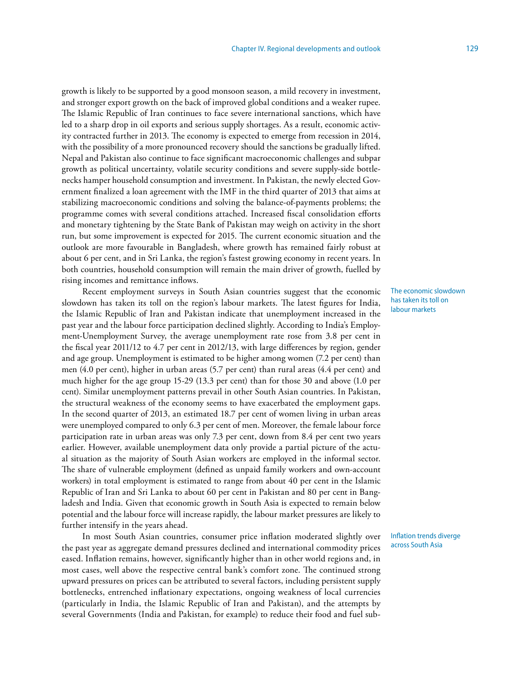growth is likely to be supported by a good monsoon season, a mild recovery in investment, and stronger export growth on the back of improved global conditions and a weaker rupee. The Islamic Republic of Iran continues to face severe international sanctions, which have led to a sharp drop in oil exports and serious supply shortages. As a result, economic activity contracted further in 2013. The economy is expected to emerge from recession in 2014, with the possibility of a more pronounced recovery should the sanctions be gradually lifted. Nepal and Pakistan also continue to face significant macroeconomic challenges and subpar growth as political uncertainty, volatile security conditions and severe supply-side bottlenecks hamper household consumption and investment. In Pakistan, the newly elected Government finalized a loan agreement with the IMF in the third quarter of 2013 that aims at stabilizing macroeconomic conditions and solving the balance-of-payments problems; the programme comes with several conditions attached. Increased fiscal consolidation efforts and monetary tightening by the State Bank of Pakistan may weigh on activity in the short run, but some improvement is expected for 2015. The current economic situation and the outlook are more favourable in Bangladesh, where growth has remained fairly robust at about 6 per cent, and in Sri Lanka, the region's fastest growing economy in recent years. In both countries, household consumption will remain the main driver of growth, fuelled by rising incomes and remittance inflows.

Recent employment surveys in South Asian countries suggest that the economic slowdown has taken its toll on the region's labour markets. The latest figures for India, the Islamic Republic of Iran and Pakistan indicate that unemployment increased in the past year and the labour force participation declined slightly. According to India's Employment-Unemployment Survey, the average unemployment rate rose from 3.8 per cent in the fiscal year 2011/12 to 4.7 per cent in 2012/13, with large differences by region, gender and age group. Unemployment is estimated to be higher among women (7.2 per cent) than men (4.0 per cent), higher in urban areas (5.7 per cent) than rural areas (4.4 per cent) and much higher for the age group 15-29 (13.3 per cent) than for those 30 and above (1.0 per cent). Similar unemployment patterns prevail in other South Asian countries. In Pakistan, the structural weakness of the economy seems to have exacerbated the employment gaps. In the second quarter of 2013, an estimated 18.7 per cent of women living in urban areas were unemployed compared to only 6.3 per cent of men. Moreover, the female labour force participation rate in urban areas was only 7.3 per cent, down from 8.4 per cent two years earlier. However, available unemployment data only provide a partial picture of the actual situation as the majority of South Asian workers are employed in the informal sector. The share of vulnerable employment (defined as unpaid family workers and own-account workers) in total employment is estimated to range from about 40 per cent in the Islamic Republic of Iran and Sri Lanka to about 60 per cent in Pakistan and 80 per cent in Bangladesh and India. Given that economic growth in South Asia is expected to remain below potential and the labour force will increase rapidly, the labour market pressures are likely to further intensify in the years ahead.

In most South Asian countries, consumer price inflation moderated slightly over the past year as aggregate demand pressures declined and international commodity prices eased. Inflation remains, however, significantly higher than in other world regions and, in most cases, well above the respective central bank's comfort zone. The continued strong upward pressures on prices can be attributed to several factors, including persistent supply bottlenecks, entrenched inflationary expectations, ongoing weakness of local currencies (particularly in India, the Islamic Republic of Iran and Pakistan), and the attempts by several Governments (India and Pakistan, for example) to reduce their food and fuel subThe economic slowdown has taken its toll on labour markets

Inflation trends diverge across South Asia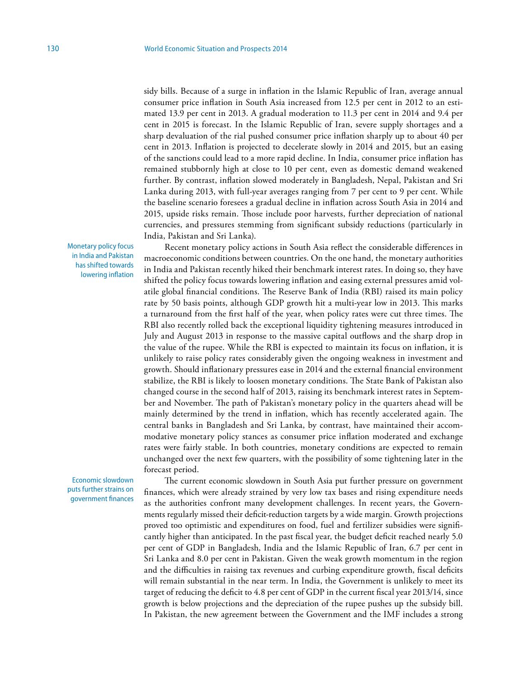sidy bills. Because of a surge in inflation in the Islamic Republic of Iran, average annual consumer price inflation in South Asia increased from 12.5 per cent in 2012 to an estimated 13.9 per cent in 2013. A gradual moderation to 11.3 per cent in 2014 and 9.4 per cent in 2015 is forecast. In the Islamic Republic of Iran, severe supply shortages and a sharp devaluation of the rial pushed consumer price inflation sharply up to about 40 per cent in 2013. Inflation is projected to decelerate slowly in 2014 and 2015, but an easing of the sanctions could lead to a more rapid decline. In India, consumer price inflation has remained stubbornly high at close to 10 per cent, even as domestic demand weakened further. By contrast, inflation slowed moderately in Bangladesh, Nepal, Pakistan and Sri Lanka during 2013, with full-year averages ranging from 7 per cent to 9 per cent. While the baseline scenario foresees a gradual decline in inflation across South Asia in 2014 and 2015, upside risks remain. Those include poor harvests, further depreciation of national currencies, and pressures stemming from significant subsidy reductions (particularly in India, Pakistan and Sri Lanka).

Monetary policy focus in India and Pakistan has shifted towards lowering inflation

Recent monetary policy actions in South Asia reflect the considerable differences in macroeconomic conditions between countries. On the one hand, the monetary authorities in India and Pakistan recently hiked their benchmark interest rates. In doing so, they have shifted the policy focus towards lowering inflation and easing external pressures amid volatile global financial conditions. The Reserve Bank of India (RBI) raised its main policy rate by 50 basis points, although GDP growth hit a multi-year low in 2013. This marks a turnaround from the first half of the year, when policy rates were cut three times. The RBI also recently rolled back the exceptional liquidity tightening measures introduced in July and August 2013 in response to the massive capital outflows and the sharp drop in the value of the rupee. While the RBI is expected to maintain its focus on inflation, it is unlikely to raise policy rates considerably given the ongoing weakness in investment and growth. Should inflationary pressures ease in 2014 and the external financial environment stabilize, the RBI is likely to loosen monetary conditions. The State Bank of Pakistan also changed course in the second half of 2013, raising its benchmark interest rates in September and November. The path of Pakistan's monetary policy in the quarters ahead will be mainly determined by the trend in inflation, which has recently accelerated again. The central banks in Bangladesh and Sri Lanka, by contrast, have maintained their accommodative monetary policy stances as consumer price inflation moderated and exchange rates were fairly stable. In both countries, monetary conditions are expected to remain unchanged over the next few quarters, with the possibility of some tightening later in the forecast period.

The current economic slowdown in South Asia put further pressure on government finances, which were already strained by very low tax bases and rising expenditure needs as the authorities confront many development challenges. In recent years, the Governments regularly missed their deficit-reduction targets by a wide margin. Growth projections proved too optimistic and expenditures on food, fuel and fertilizer subsidies were significantly higher than anticipated. In the past fiscal year, the budget deficit reached nearly 5.0 per cent of GDP in Bangladesh, India and the Islamic Republic of Iran, 6.7 per cent in Sri Lanka and 8.0 per cent in Pakistan. Given the weak growth momentum in the region and the difficulties in raising tax revenues and curbing expenditure growth, fiscal deficits will remain substantial in the near term. In India, the Government is unlikely to meet its target of reducing the deficit to 4.8 per cent of GDP in the current fiscal year 2013/14, since growth is below projections and the depreciation of the rupee pushes up the subsidy bill. In Pakistan, the new agreement between the Government and the IMF includes a strong

Economic slowdown puts further strains on government finances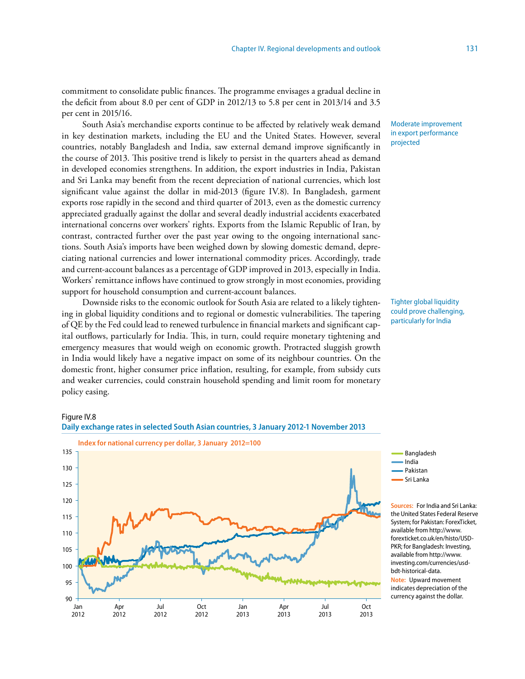commitment to consolidate public finances. The programme envisages a gradual decline in the deficit from about 8.0 per cent of GDP in 2012/13 to 5.8 per cent in 2013/14 and 3.5 per cent in 2015/16.

South Asia's merchandise exports continue to be affected by relatively weak demand in key destination markets, including the EU and the United States. However, several countries, notably Bangladesh and India, saw external demand improve significantly in the course of 2013. This positive trend is likely to persist in the quarters ahead as demand in developed economies strengthens. In addition, the export industries in India, Pakistan and Sri Lanka may benefit from the recent depreciation of national currencies, which lost significant value against the dollar in mid-2013 (figure IV.8). In Bangladesh, garment exports rose rapidly in the second and third quarter of 2013, even as the domestic currency appreciated gradually against the dollar and several deadly industrial accidents exacerbated international concerns over workers' rights. Exports from the Islamic Republic of Iran, by contrast, contracted further over the past year owing to the ongoing international sanctions. South Asia's imports have been weighed down by slowing domestic demand, depreciating national currencies and lower international commodity prices. Accordingly, trade and current-account balances as a percentage of GDP improved in 2013, especially in India. Workers' remittance inflows have continued to grow strongly in most economies, providing support for household consumption and current-account balances.

Downside risks to the economic outlook for South Asia are related to a likely tightening in global liquidity conditions and to regional or domestic vulnerabilities. The tapering of QE by the Fed could lead to renewed turbulence in financial markets and significant capital outflows, particularly for India. This, in turn, could require monetary tightening and emergency measures that would weigh on economic growth. Protracted sluggish growth in India would likely have a negative impact on some of its neighbour countries. On the domestic front, higher consumer price inflation, resulting, for example, from subsidy cuts and weaker currencies, could constrain household spending and limit room for monetary policy easing.

Moderate improvement in export performance projected

Tighter global liquidity could prove challenging, particularly for India

Figure IV.8

#### **Daily exchange rates in selected South Asian countries, 3 January 2012-1 November 2013**



- India Bangladesh
- Pakistan
- Sri Lanka

**Sources:** For India and Sri Lanka: the United States Federal Reserve System; for Pakistan: ForexTicket, available from http://www. forexticket.co.uk/en/histo/USD-PKR; for Bangladesh: Investing, available from http://www. investing.com/currencies/usdbdt-historical-data. **Note:** Upward movement indicates depreciation of the currency against the dollar.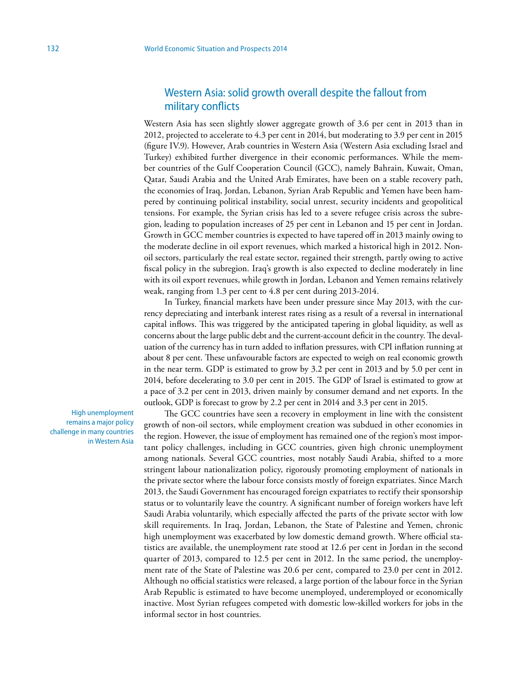# Western Asia: solid growth overall despite the fallout from military conflicts

Western Asia has seen slightly slower aggregate growth of 3.6 per cent in 2013 than in 2012, projected to accelerate to 4.3 per cent in 2014, but moderating to 3.9 per cent in 2015 (figure IV.9). However, Arab countries in Western Asia (Western Asia excluding Israel and Turkey) exhibited further divergence in their economic performances. While the member countries of the Gulf Cooperation Council (GCC), namely Bahrain, Kuwait, Oman, Qatar, Saudi Arabia and the United Arab Emirates, have been on a stable recovery path, the economies of Iraq, Jordan, Lebanon, Syrian Arab Republic and Yemen have been hampered by continuing political instability, social unrest, security incidents and geopolitical tensions. For example, the Syrian crisis has led to a severe refugee crisis across the subregion, leading to population increases of 25 per cent in Lebanon and 15 per cent in Jordan. Growth in GCC member countries is expected to have tapered off in 2013 mainly owing to the moderate decline in oil export revenues, which marked a historical high in 2012. Nonoil sectors, particularly the real estate sector, regained their strength, partly owing to active fiscal policy in the subregion. Iraq's growth is also expected to decline moderately in line with its oil export revenues, while growth in Jordan, Lebanon and Yemen remains relatively weak, ranging from 1.3 per cent to 4.8 per cent during 2013-2014.

In Turkey, financial markets have been under pressure since May 2013, with the currency depreciating and interbank interest rates rising as a result of a reversal in international capital inflows. This was triggered by the anticipated tapering in global liquidity, as well as concerns about the large public debt and the current-account deficit in the country. The devaluation of the currency has in turn added to inflation pressures, with CPI inflation running at about 8 per cent. These unfavourable factors are expected to weigh on real economic growth in the near term. GDP is estimated to grow by 3.2 per cent in 2013 and by 5.0 per cent in 2014, before decelerating to 3.0 per cent in 2015. The GDP of Israel is estimated to grow at a pace of 3.2 per cent in 2013, driven mainly by consumer demand and net exports. In the outlook, GDP is forecast to grow by 2.2 per cent in 2014 and 3.3 per cent in 2015.

High unemployment remains a major policy challenge in many countries in Western Asia

The GCC countries have seen a recovery in employment in line with the consistent growth of non-oil sectors, while employment creation was subdued in other economies in the region. However, the issue of employment has remained one of the region's most important policy challenges, including in GCC countries, given high chronic unemployment among nationals. Several GCC countries, most notably Saudi Arabia, shifted to a more stringent labour nationalization policy, rigorously promoting employment of nationals in the private sector where the labour force consists mostly of foreign expatriates. Since March 2013, the Saudi Government has encouraged foreign expatriates to rectify their sponsorship status or to voluntarily leave the country. A significant number of foreign workers have left Saudi Arabia voluntarily, which especially affected the parts of the private sector with low skill requirements. In Iraq, Jordan, Lebanon, the State of Palestine and Yemen, chronic high unemployment was exacerbated by low domestic demand growth. Where official statistics are available, the unemployment rate stood at 12.6 per cent in Jordan in the second quarter of 2013, compared to 12.5 per cent in 2012. In the same period, the unemployment rate of the State of Palestine was 20.6 per cent, compared to 23.0 per cent in 2012. Although no official statistics were released, a large portion of the labour force in the Syrian Arab Republic is estimated to have become unemployed, underemployed or economically inactive. Most Syrian refugees competed with domestic low-skilled workers for jobs in the informal sector in host countries.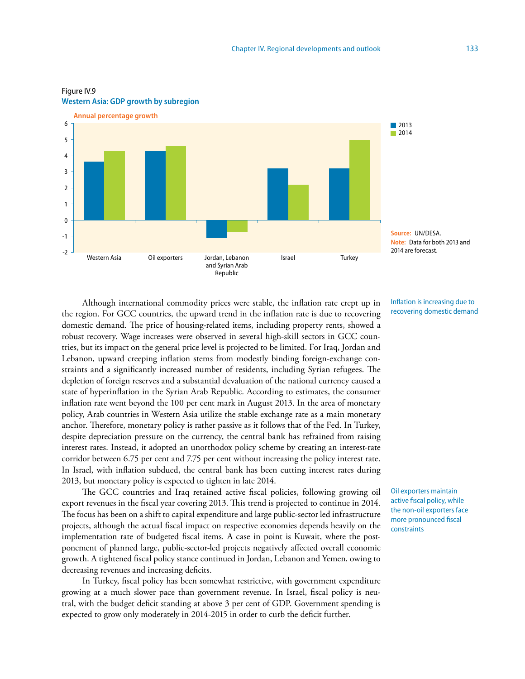

### Figure IV.9 **Western Asia: GDP growth by subregion**

Although international commodity prices were stable, the inflation rate crept up in the region. For GCC countries, the upward trend in the inflation rate is due to recovering domestic demand. The price of housing-related items, including property rents, showed a robust recovery. Wage increases were observed in several high-skill sectors in GCC countries, but its impact on the general price level is projected to be limited. For Iraq, Jordan and Lebanon, upward creeping inflation stems from modestly binding foreign-exchange constraints and a significantly increased number of residents, including Syrian refugees. The depletion of foreign reserves and a substantial devaluation of the national currency caused a state of hyperinflation in the Syrian Arab Republic. According to estimates, the consumer inflation rate went beyond the 100 per cent mark in August 2013. In the area of monetary policy, Arab countries in Western Asia utilize the stable exchange rate as a main monetary anchor. Therefore, monetary policy is rather passive as it follows that of the Fed. In Turkey, despite depreciation pressure on the currency, the central bank has refrained from raising interest rates. Instead, it adopted an unorthodox policy scheme by creating an interest-rate corridor between 6.75 per cent and 7.75 per cent without increasing the policy interest rate. In Israel, with inflation subdued, the central bank has been cutting interest rates during 2013, but monetary policy is expected to tighten in late 2014.

The GCC countries and Iraq retained active fiscal policies, following growing oil export revenues in the fiscal year covering 2013. This trend is projected to continue in 2014. The focus has been on a shift to capital expenditure and large public-sector led infrastructure projects, although the actual fiscal impact on respective economies depends heavily on the implementation rate of budgeted fiscal items. A case in point is Kuwait, where the postponement of planned large, public-sector-led projects negatively affected overall economic growth. A tightened fiscal policy stance continued in Jordan, Lebanon and Yemen, owing to decreasing revenues and increasing deficits.

In Turkey, fiscal policy has been somewhat restrictive, with government expenditure growing at a much slower pace than government revenue. In Israel, fiscal policy is neutral, with the budget deficit standing at above 3 per cent of GDP. Government spending is expected to grow only moderately in 2014-2015 in order to curb the deficit further.

Inflation is increasing due to recovering domestic demand

Oil exporters maintain active fiscal policy, while the non-oil exporters face more pronounced fiscal constraints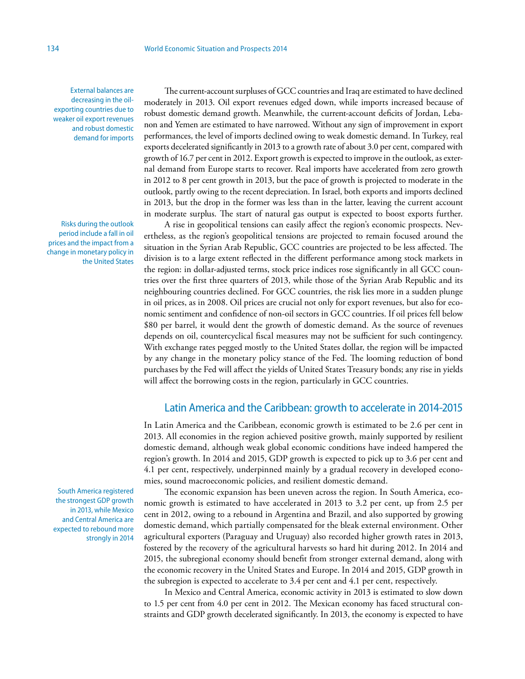External balances are decreasing in the oilexporting countries due to weaker oil export revenues and robust domestic demand for imports

Risks during the outlook period include a fall in oil prices and the impact from a change in monetary policy in the United States

South America registered the strongest GDP growth in 2013, while Mexico and Central America are expected to rebound more strongly in 2014

The current-account surpluses of GCC countries and Iraq are estimated to have declined moderately in 2013. Oil export revenues edged down, while imports increased because of robust domestic demand growth. Meanwhile, the current-account deficits of Jordan, Lebanon and Yemen are estimated to have narrowed. Without any sign of improvement in export performances, the level of imports declined owing to weak domestic demand. In Turkey, real exports decelerated significantly in 2013 to a growth rate of about 3.0 per cent, compared with growth of 16.7 per cent in 2012. Export growth is expected to improve in the outlook, as external demand from Europe starts to recover. Real imports have accelerated from zero growth in 2012 to 8 per cent growth in 2013, but the pace of growth is projected to moderate in the outlook, partly owing to the recent depreciation. In Israel, both exports and imports declined in 2013, but the drop in the former was less than in the latter, leaving the current account in moderate surplus. The start of natural gas output is expected to boost exports further.

A rise in geopolitical tensions can easily affect the region's economic prospects. Nevertheless, as the region's geopolitical tensions are projected to remain focused around the situation in the Syrian Arab Republic, GCC countries are projected to be less affected. The division is to a large extent reflected in the different performance among stock markets in the region: in dollar-adjusted terms, stock price indices rose significantly in all GCC countries over the first three quarters of 2013, while those of the Syrian Arab Republic and its neighbouring countries declined. For GCC countries, the risk lies more in a sudden plunge in oil prices, as in 2008. Oil prices are crucial not only for export revenues, but also for economic sentiment and confidence of non-oil sectors in GCC countries. If oil prices fell below \$80 per barrel, it would dent the growth of domestic demand. As the source of revenues depends on oil, countercyclical fiscal measures may not be sufficient for such contingency. With exchange rates pegged mostly to the United States dollar, the region will be impacted by any change in the monetary policy stance of the Fed. The looming reduction of bond purchases by the Fed will affect the yields of United States Treasury bonds; any rise in yields will affect the borrowing costs in the region, particularly in GCC countries.

# Latin America and the Caribbean: growth to accelerate in 2014-2015

In Latin America and the Caribbean, economic growth is estimated to be 2.6 per cent in 2013. All economies in the region achieved positive growth, mainly supported by resilient domestic demand, although weak global economic conditions have indeed hampered the region's growth. In 2014 and 2015, GDP growth is expected to pick up to 3.6 per cent and 4.1 per cent, respectively, underpinned mainly by a gradual recovery in developed economies, sound macroeconomic policies, and resilient domestic demand.

The economic expansion has been uneven across the region. In South America, economic growth is estimated to have accelerated in 2013 to 3.2 per cent, up from 2.5 per cent in 2012, owing to a rebound in Argentina and Brazil, and also supported by growing domestic demand, which partially compensated for the bleak external environment. Other agricultural exporters (Paraguay and Uruguay) also recorded higher growth rates in 2013, fostered by the recovery of the agricultural harvests so hard hit during 2012. In 2014 and 2015, the subregional economy should benefit from stronger external demand, along with the economic recovery in the United States and Europe. In 2014 and 2015, GDP growth in the subregion is expected to accelerate to 3.4 per cent and 4.1 per cent, respectively.

In Mexico and Central America, economic activity in 2013 is estimated to slow down to 1.5 per cent from 4.0 per cent in 2012. The Mexican economy has faced structural constraints and GDP growth decelerated significantly. In 2013, the economy is expected to have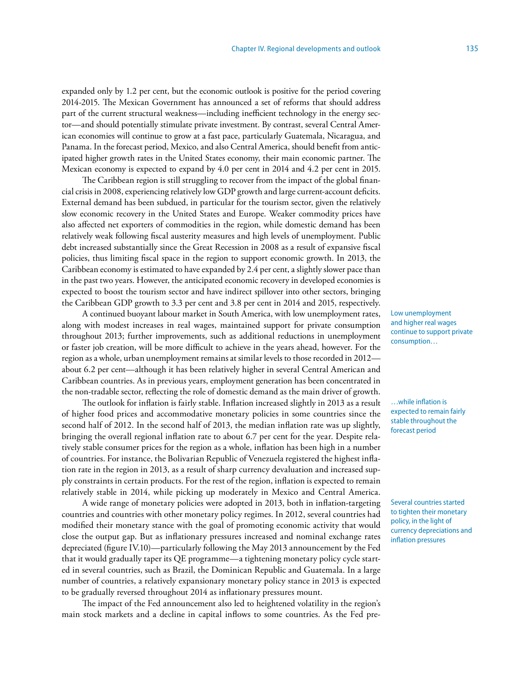expanded only by 1.2 per cent, but the economic outlook is positive for the period covering 2014-2015. The Mexican Government has announced a set of reforms that should address part of the current structural weakness—including inefficient technology in the energy sector—and should potentially stimulate private investment. By contrast, several Central American economies will continue to grow at a fast pace, particularly Guatemala, Nicaragua, and Panama. In the forecast period, Mexico, and also Central America, should benefit from anticipated higher growth rates in the United States economy, their main economic partner. The Mexican economy is expected to expand by 4.0 per cent in 2014 and 4.2 per cent in 2015.

The Caribbean region is still struggling to recover from the impact of the global financial crisis in 2008, experiencing relatively low GDP growth and large current-account deficits. External demand has been subdued, in particular for the tourism sector, given the relatively slow economic recovery in the United States and Europe. Weaker commodity prices have also affected net exporters of commodities in the region, while domestic demand has been relatively weak following fiscal austerity measures and high levels of unemployment. Public debt increased substantially since the Great Recession in 2008 as a result of expansive fiscal policies, thus limiting fiscal space in the region to support economic growth. In 2013, the Caribbean economy is estimated to have expanded by 2.4 per cent, a slightly slower pace than in the past two years. However, the anticipated economic recovery in developed economies is expected to boost the tourism sector and have indirect spillover into other sectors, bringing the Caribbean GDP growth to 3.3 per cent and 3.8 per cent in 2014 and 2015, respectively.

A continued buoyant labour market in South America, with low unemployment rates, along with modest increases in real wages, maintained support for private consumption throughout 2013; further improvements, such as additional reductions in unemployment or faster job creation, will be more difficult to achieve in the years ahead, however. For the region as a whole, urban unemployment remains at similar levels to those recorded in 2012 about 6.2 per cent—although it has been relatively higher in several Central American and Caribbean countries. As in previous years, employment generation has been concentrated in the non-tradable sector, reflecting the role of domestic demand as the main driver of growth.

The outlook for inflation is fairly stable. Inflation increased slightly in 2013 as a result of higher food prices and accommodative monetary policies in some countries since the second half of 2012. In the second half of 2013, the median inflation rate was up slightly, bringing the overall regional inflation rate to about 6.7 per cent for the year. Despite relatively stable consumer prices for the region as a whole, inflation has been high in a number of countries. For instance, the Bolivarian Republic of Venezuela registered the highest inflation rate in the region in 2013, as a result of sharp currency devaluation and increased supply constraints in certain products. For the rest of the region, inflation is expected to remain relatively stable in 2014, while picking up moderately in Mexico and Central America.

A wide range of monetary policies were adopted in 2013, both in inflation-targeting countries and countries with other monetary policy regimes. In 2012, several countries had modified their monetary stance with the goal of promoting economic activity that would close the output gap. But as inflationary pressures increased and nominal exchange rates depreciated (figure IV.10)—particularly following the May 2013 announcement by the Fed that it would gradually taper its QE programme—a tightening monetary policy cycle started in several countries, such as Brazil, the Dominican Republic and Guatemala. In a large number of countries, a relatively expansionary monetary policy stance in 2013 is expected to be gradually reversed throughout 2014 as inflationary pressures mount.

The impact of the Fed announcement also led to heightened volatility in the region's main stock markets and a decline in capital inflows to some countries. As the Fed preLow unemployment and higher real wages continue to support private consumption…

…while inflation is expected to remain fairly stable throughout the forecast period

Several countries started to tighten their monetary policy, in the light of currency depreciations and inflation pressures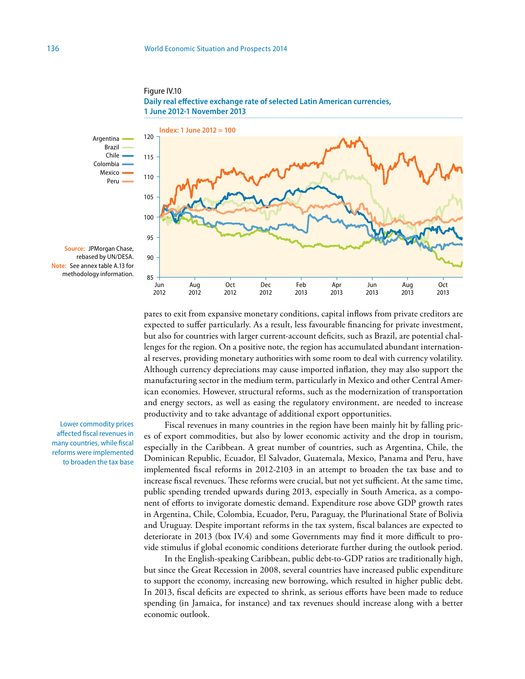

pares to exit from expansive monetary conditions, capital inflows from private creditors are expected to suffer particularly. As a result, less favourable financing for private investment, but also for countries with larger current-account deficits, such as Brazil, are potential challenges for the region. On a positive note, the region has accumulated abundant international reserves, providing monetary authorities with some room to deal with currency volatility. Although currency depreciations may cause imported inflation, they may also support the manufacturing sector in the medium term, particularly in Mexico and other Central American economies. However, structural reforms, such as the modernization of transportation and energy sectors, as well as easing the regulatory environment, are needed to increase productivity and to take advantage of additional export opportunities.

Fiscal revenues in many countries in the region have been mainly hit by falling prices of export commodities, but also by lower economic activity and the drop in tourism, especially in the Caribbean. A great number of countries, such as Argentina, Chile, the Dominican Republic, Ecuador, El Salvador, Guatemala, Mexico, Panama and Peru, have implemented fiscal reforms in 2012-2103 in an attempt to broaden the tax base and to increase fiscal revenues. These reforms were crucial, but not yet sufficient. At the same time, public spending trended upwards during 2013, especially in South America, as a component of efforts to invigorate domestic demand. Expenditure rose above GDP growth rates in Argentina, Chile, Colombia, Ecuador, Peru, Paraguay, the Plurinational State of Bolivia and Uruguay. Despite important reforms in the tax system, fiscal balances are expected to deteriorate in 2013 (box IV.4) and some Governments may find it more difficult to provide stimulus if global economic conditions deteriorate further during the outlook period.

In the English-speaking Caribbean, public debt-to-GDP ratios are traditionally high, but since the Great Recession in 2008, several countries have increased public expenditure to support the economy, increasing new borrowing, which resulted in higher public debt. In 2013, fiscal deficits are expected to shrink, as serious efforts have been made to reduce spending (in Jamaica, for instance) and tax revenues should increase along with a better economic outlook.

Lower commodity prices affected fiscal revenues in many countries, while fiscal reforms were implemented to broaden the tax base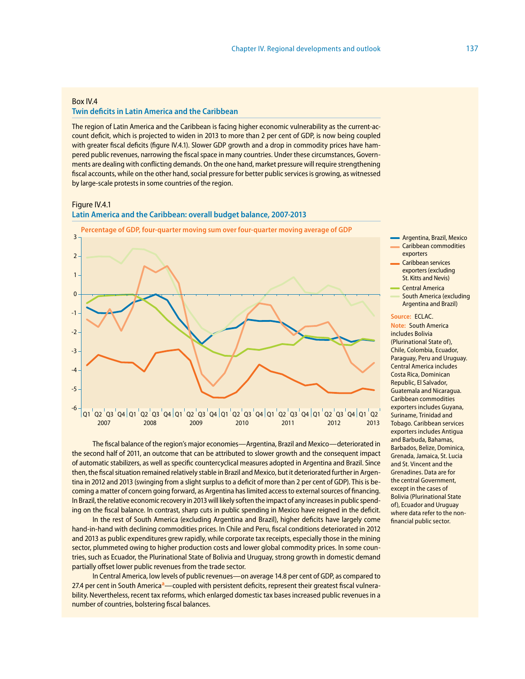#### Box IV.4

### **Twin deficits in Latin America and the Caribbean**

The region of Latin America and the Caribbean is facing higher economic vulnerability as the current-account deficit, which is projected to widen in 2013 to more than 2 per cent of GDP, is now being coupled with greater fiscal deficits (figure IV.4.1). Slower GDP growth and a drop in commodity prices have hampered public revenues, narrowing the fiscal space in many countries. Under these circumstances, Governments are dealing with conflicting demands. On the one hand, market pressure will require strengthening fiscal accounts, while on the other hand, social pressure for better public services is growing, as witnessed by large-scale protests in some countries of the region.



#### **Latin America and the Caribbean: overall budget balance, 2007-2013**



The fiscal balance of the region's major economies—Argentina, Brazil and Mexico—deteriorated in the second half of 2011, an outcome that can be attributed to slower growth and the consequent impact of automatic stabilizers, as well as specific countercyclical measures adopted in Argentina and Brazil. Since then, the fiscal situation remained relatively stable in Brazil and Mexico, but it deteriorated further in Argentina in 2012 and 2013 (swinging from a slight surplus to a deficit of more than 2 per cent of GDP). This is becoming a matter of concern going forward, as Argentina has limited access to external sources of financing. In Brazil, the relative economic recovery in 2013 will likely soften the impact of any increases in public spending on the fiscal balance. In contrast, sharp cuts in public spending in Mexico have reigned in the deficit.

In the rest of South America (excluding Argentina and Brazil), higher deficits have largely come hand-in-hand with declining commodities prices. In Chile and Peru, fiscal conditions deteriorated in 2012 and 2013 as public expenditures grew rapidly, while corporate tax receipts, especially those in the mining sector, plummeted owing to higher production costs and lower global commodity prices. In some countries, such as Ecuador, the Plurinational State of Bolivia and Uruguay, strong growth in domestic demand partially offset lower public revenues from the trade sector.

In Central America, low levels of public revenues—on average 14.8 per cent of GDP, as compared to 27.4 per cent in South America**a**—coupled with persistent deficits, represent their greatest fiscal vulnerability. Nevertheless, recent tax reforms, which enlarged domestic tax bases increased public revenues in a number of countries, bolstering fiscal balances.

- Argentina, Brazil, Mexico Caribbean commodities exporters
- Caribbean services exporters (excluding St. Kitts and Nevis)
- South America (excluding Argentina and Brazil) Central America

#### **Source:** ECLAC.

**Note:** South America includes Bolivia (Plurinational State of), Chile, Colombia, Ecuador, Paraguay, Peru and Uruguay. Central America includes Costa Rica, Dominican Republic, El Salvador, Guatemala and Nicaragua. Caribbean commodities exporters includes Guyana, Suriname, Trinidad and Tobago. Caribbean services exporters includes Antigua and Barbuda, Bahamas, Barbados, Belize, Dominica, Grenada, Jamaica, St. Lucia and St. Vincent and the Grenadines. Data are for the central Government, except in the cases of Bolivia (Plurinational State of), Ecuador and Uruguay where data refer to the nonfinancial public sector.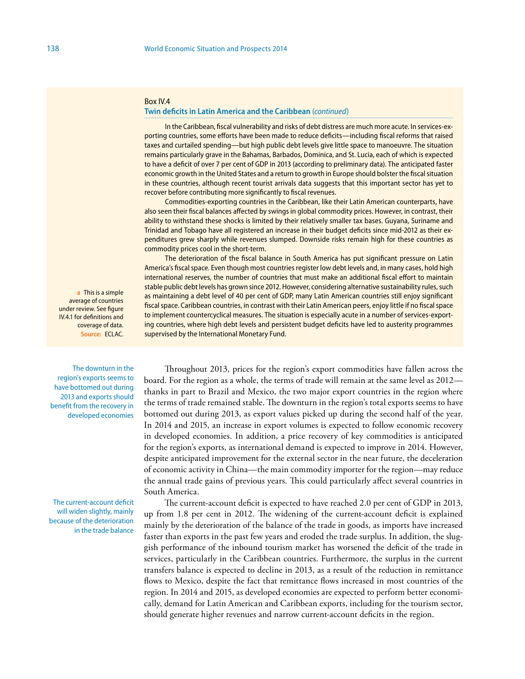### Box IV.4 **Twin deficits in Latin America and the Caribbean** (*continued*)

In the Caribbean, fiscal vulnerability and risks of debt distress are much more acute. In services-exporting countries, some efforts have been made to reduce deficits—including fiscal reforms that raised taxes and curtailed spending—but high public debt levels give little space to manoeuvre. The situation remains particularly grave in the Bahamas, Barbados, Dominica, and St. Lucia, each of which is expected to have a deficit of over 7 per cent of GDP in 2013 (according to preliminary data). The anticipated faster economic growth in the United States and a return to growth in Europe should bolster the fiscal situation in these countries, although recent tourist arrivals data suggests that this important sector has yet to recover before contributing more significantly to fiscal revenues.

Commodities-exporting countries in the Caribbean, like their Latin American counterparts, have also seen their fiscal balances affected by swings in global commodity prices. However, in contrast, their ability to withstand these shocks is limited by their relatively smaller tax bases. Guyana, Suriname and Trinidad and Tobago have all registered an increase in their budget deficits since mid-2012 as their expenditures grew sharply while revenues slumped. Downside risks remain high for these countries as commodity prices cool in the short-term.

The deterioration of the fiscal balance in South America has put significant pressure on Latin America's fiscal space. Even though most countries register low debt levels and, in many cases, hold high international reserves, the number of countries that must make an additional fiscal effort to maintain stable public debt levels has grown since 2012. However, considering alternative sustainability rules, such as maintaining a debt level of 40 per cent of GDP, many Latin American countries still enjoy significant fiscal space. Caribbean countries, in contrast with their Latin American peers, enjoy little if no fiscal space to implement countercyclical measures. The situation is especially acute in a number of services-exporting countries, where high debt levels and persistent budget deficits have led to austerity programmes supervised by the International Monetary Fund.

**a** This is a simple average of countries under review. See figure IV.4.1 for definitions and coverage of data. **Source:** ECLAC.

The downturn in the region's exports seems to have bottomed out during 2013 and exports should benefit from the recovery in developed economies

The current-account deficit will widen slightly, mainly because of the deterioration in the trade balance

Throughout 2013, prices for the region's export commodities have fallen across the board. For the region as a whole, the terms of trade will remain at the same level as 2012 thanks in part to Brazil and Mexico, the two major export countries in the region where the terms of trade remained stable. The downturn in the region's total exports seems to have bottomed out during 2013, as export values picked up during the second half of the year. In 2014 and 2015, an increase in export volumes is expected to follow economic recovery in developed economies. In addition, a price recovery of key commodities is anticipated for the region's exports, as international demand is expected to improve in 2014. However, despite anticipated improvement for the external sector in the near future, the deceleration of economic activity in China—the main commodity importer for the region—may reduce the annual trade gains of previous years. This could particularly affect several countries in South America.

The current-account deficit is expected to have reached 2.0 per cent of GDP in 2013, up from 1.8 per cent in 2012. The widening of the current-account deficit is explained mainly by the deterioration of the balance of the trade in goods, as imports have increased faster than exports in the past few years and eroded the trade surplus. In addition, the sluggish performance of the inbound tourism market has worsened the deficit of the trade in services, particularly in the Caribbean countries. Furthermore, the surplus in the current transfers balance is expected to decline in 2013, as a result of the reduction in remittance flows to Mexico, despite the fact that remittance flows increased in most countries of the region. In 2014 and 2015, as developed economies are expected to perform better economically, demand for Latin American and Caribbean exports, including for the tourism sector, should generate higher revenues and narrow current-account deficits in the region.